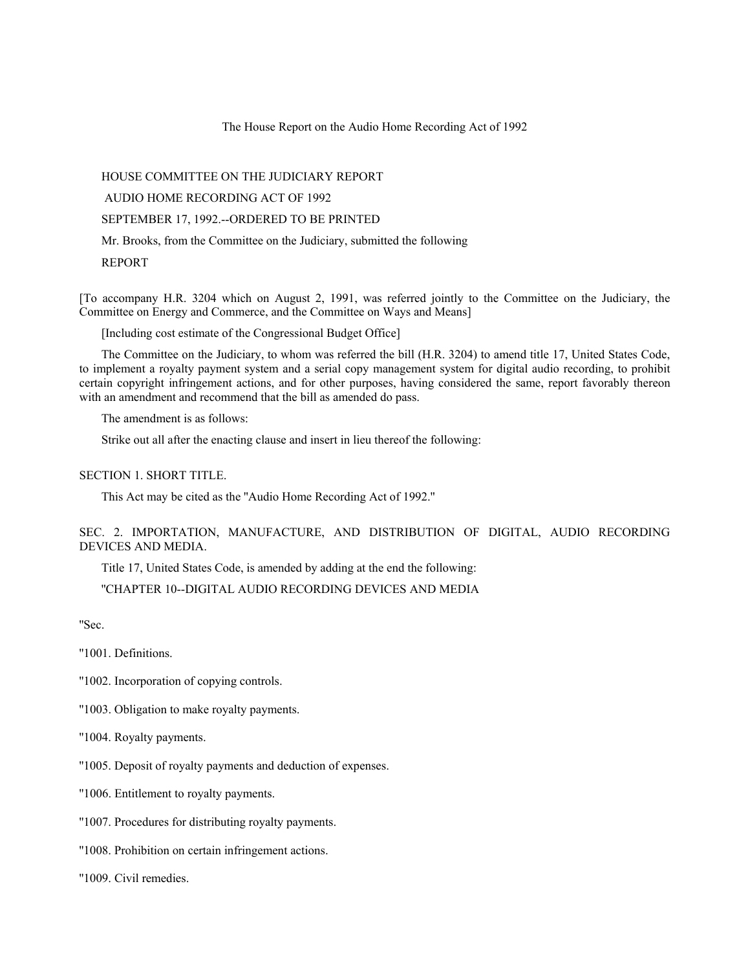The House Report on the Audio Home Recording Act of 1992

HOUSE COMMITTEE ON THE JUDICIARY REPORT

AUDIO HOME RECORDING ACT OF 1992

SEPTEMBER 17, 1992.--ORDERED TO BE PRINTED

Mr. Brooks, from the Committee on the Judiciary, submitted the following

REPORT

[To accompany H.R. 3204 which on August 2, 1991, was referred jointly to the Committee on the Judiciary, the Committee on Energy and Commerce, and the Committee on Ways and Means]

[Including cost estimate of the Congressional Budget Office]

The Committee on the Judiciary, to whom was referred the bill (H.R. 3204) to amend title 17, United States Code, to implement a royalty payment system and a serial copy management system for digital audio recording, to prohibit certain copyright infringement actions, and for other purposes, having considered the same, report favorably thereon with an amendment and recommend that the bill as amended do pass.

The amendment is as follows:

Strike out all after the enacting clause and insert in lieu thereof the following:

SECTION 1. SHORT TITLE.

This Act may be cited as the ''Audio Home Recording Act of 1992.''

SEC. 2. IMPORTATION, MANUFACTURE, AND DISTRIBUTION OF DIGITAL, AUDIO RECORDING DEVICES AND MEDIA.

Title 17, United States Code, is amended by adding at the end the following:

''CHAPTER 10--DIGITAL AUDIO RECORDING DEVICES AND MEDIA

''Sec.

''1001. Definitions.

- ''1002. Incorporation of copying controls.
- ''1003. Obligation to make royalty payments.

''1004. Royalty payments.

''1005. Deposit of royalty payments and deduction of expenses.

''1006. Entitlement to royalty payments.

''1007. Procedures for distributing royalty payments.

''1008. Prohibition on certain infringement actions.

''1009. Civil remedies.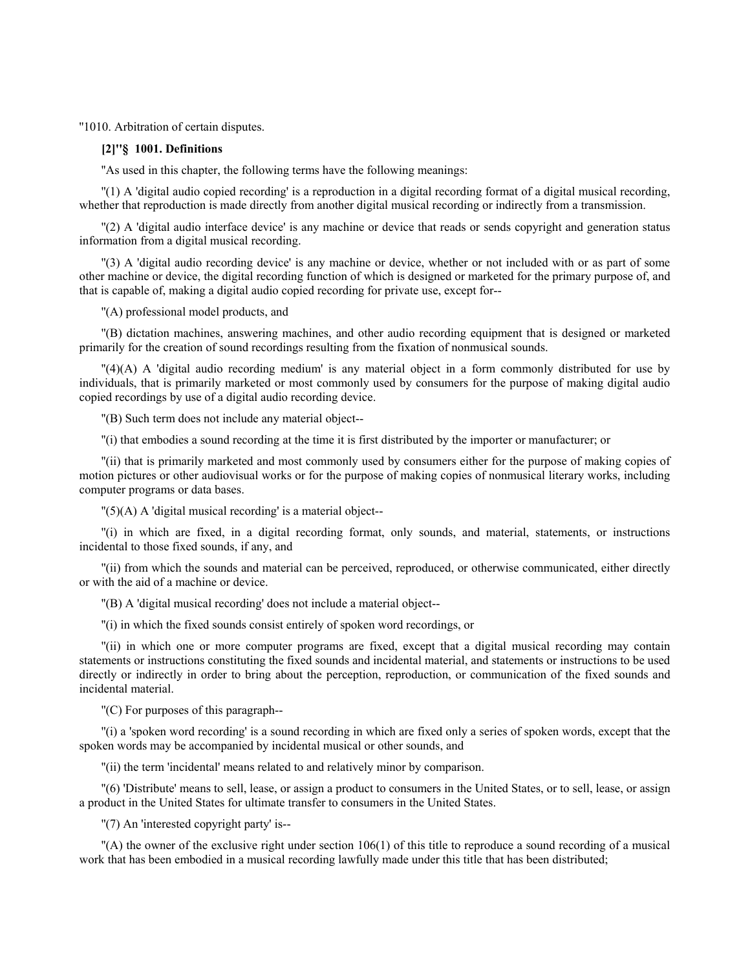''1010. Arbitration of certain disputes.

# **[2]''§ 1001. Definitions**

''As used in this chapter, the following terms have the following meanings:

''(1) A 'digital audio copied recording' is a reproduction in a digital recording format of a digital musical recording, whether that reproduction is made directly from another digital musical recording or indirectly from a transmission.

''(2) A 'digital audio interface device' is any machine or device that reads or sends copyright and generation status information from a digital musical recording.

''(3) A 'digital audio recording device' is any machine or device, whether or not included with or as part of some other machine or device, the digital recording function of which is designed or marketed for the primary purpose of, and that is capable of, making a digital audio copied recording for private use, except for--

''(A) professional model products, and

''(B) dictation machines, answering machines, and other audio recording equipment that is designed or marketed primarily for the creation of sound recordings resulting from the fixation of nonmusical sounds.

''(4)(A) A 'digital audio recording medium' is any material object in a form commonly distributed for use by individuals, that is primarily marketed or most commonly used by consumers for the purpose of making digital audio copied recordings by use of a digital audio recording device.

''(B) Such term does not include any material object--

''(i) that embodies a sound recording at the time it is first distributed by the importer or manufacturer; or

''(ii) that is primarily marketed and most commonly used by consumers either for the purpose of making copies of motion pictures or other audiovisual works or for the purpose of making copies of nonmusical literary works, including computer programs or data bases.

 $''(5)$ (A) A 'digital musical recording' is a material object--

''(i) in which are fixed, in a digital recording format, only sounds, and material, statements, or instructions incidental to those fixed sounds, if any, and

''(ii) from which the sounds and material can be perceived, reproduced, or otherwise communicated, either directly or with the aid of a machine or device.

''(B) A 'digital musical recording' does not include a material object--

''(i) in which the fixed sounds consist entirely of spoken word recordings, or

''(ii) in which one or more computer programs are fixed, except that a digital musical recording may contain statements or instructions constituting the fixed sounds and incidental material, and statements or instructions to be used directly or indirectly in order to bring about the perception, reproduction, or communication of the fixed sounds and incidental material.

''(C) For purposes of this paragraph--

''(i) a 'spoken word recording' is a sound recording in which are fixed only a series of spoken words, except that the spoken words may be accompanied by incidental musical or other sounds, and

''(ii) the term 'incidental' means related to and relatively minor by comparison.

''(6) 'Distribute' means to sell, lease, or assign a product to consumers in the United States, or to sell, lease, or assign a product in the United States for ultimate transfer to consumers in the United States.

''(7) An 'interested copyright party' is--

''(A) the owner of the exclusive right under section 106(1) of this title to reproduce a sound recording of a musical work that has been embodied in a musical recording lawfully made under this title that has been distributed;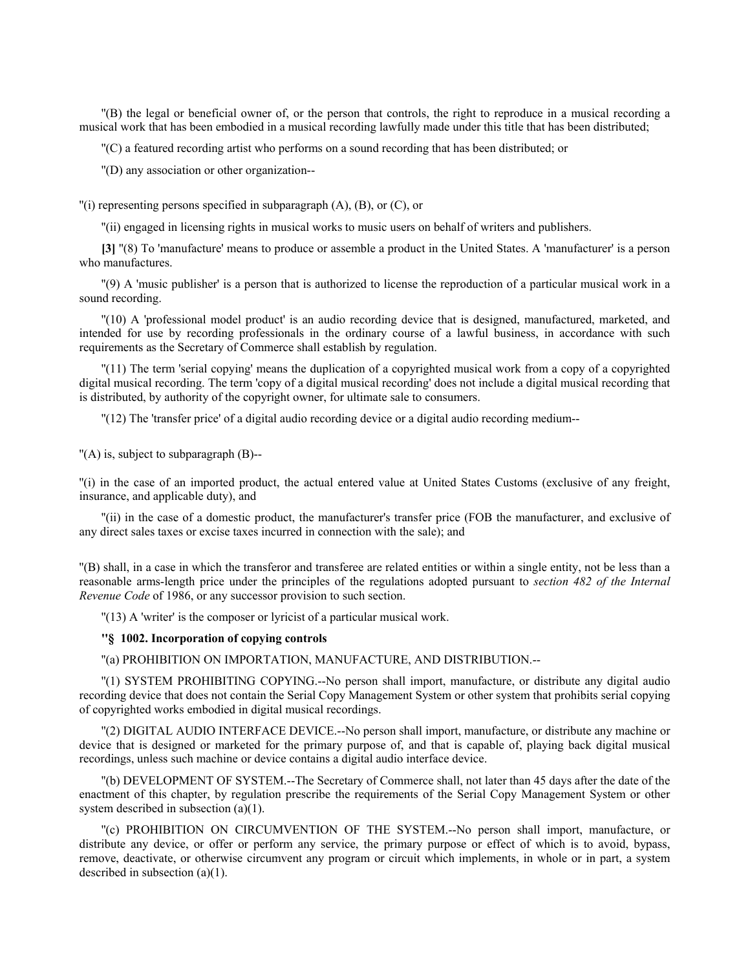''(B) the legal or beneficial owner of, or the person that controls, the right to reproduce in a musical recording a musical work that has been embodied in a musical recording lawfully made under this title that has been distributed;

''(C) a featured recording artist who performs on a sound recording that has been distributed; or

''(D) any association or other organization--

 $\lceil$ (i) representing persons specified in subparagraph (A), (B), or (C), or

''(ii) engaged in licensing rights in musical works to music users on behalf of writers and publishers.

**[3]** ''(8) To 'manufacture' means to produce or assemble a product in the United States. A 'manufacturer' is a person who manufactures.

''(9) A 'music publisher' is a person that is authorized to license the reproduction of a particular musical work in a sound recording.

''(10) A 'professional model product' is an audio recording device that is designed, manufactured, marketed, and intended for use by recording professionals in the ordinary course of a lawful business, in accordance with such requirements as the Secretary of Commerce shall establish by regulation.

''(11) The term 'serial copying' means the duplication of a copyrighted musical work from a copy of a copyrighted digital musical recording. The term 'copy of a digital musical recording' does not include a digital musical recording that is distributed, by authority of the copyright owner, for ultimate sale to consumers.

''(12) The 'transfer price' of a digital audio recording device or a digital audio recording medium--

''(A) is, subject to subparagraph (B)--

''(i) in the case of an imported product, the actual entered value at United States Customs (exclusive of any freight, insurance, and applicable duty), and

''(ii) in the case of a domestic product, the manufacturer's transfer price (FOB the manufacturer, and exclusive of any direct sales taxes or excise taxes incurred in connection with the sale); and

''(B) shall, in a case in which the transferor and transferee are related entities or within a single entity, not be less than a reasonable arms-length price under the principles of the regulations adopted pursuant to *section 482 of the Internal Revenue Code* of 1986, or any successor provision to such section.

''(13) A 'writer' is the composer or lyricist of a particular musical work.

## **''§ 1002. Incorporation of copying controls**

''(a) PROHIBITION ON IMPORTATION, MANUFACTURE, AND DISTRIBUTION.--

''(1) SYSTEM PROHIBITING COPYING.--No person shall import, manufacture, or distribute any digital audio recording device that does not contain the Serial Copy Management System or other system that prohibits serial copying of copyrighted works embodied in digital musical recordings.

''(2) DIGITAL AUDIO INTERFACE DEVICE.--No person shall import, manufacture, or distribute any machine or device that is designed or marketed for the primary purpose of, and that is capable of, playing back digital musical recordings, unless such machine or device contains a digital audio interface device.

''(b) DEVELOPMENT OF SYSTEM.--The Secretary of Commerce shall, not later than 45 days after the date of the enactment of this chapter, by regulation prescribe the requirements of the Serial Copy Management System or other system described in subsection (a)(1).

''(c) PROHIBITION ON CIRCUMVENTION OF THE SYSTEM.--No person shall import, manufacture, or distribute any device, or offer or perform any service, the primary purpose or effect of which is to avoid, bypass, remove, deactivate, or otherwise circumvent any program or circuit which implements, in whole or in part, a system described in subsection (a)(1).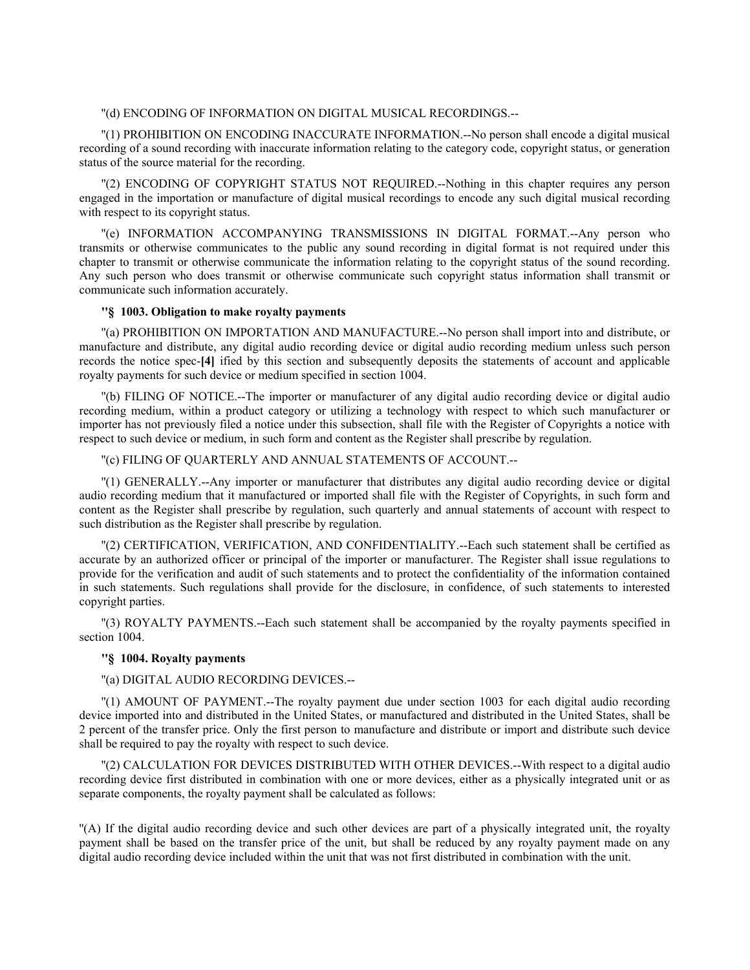#### ''(d) ENCODING OF INFORMATION ON DIGITAL MUSICAL RECORDINGS.--

''(1) PROHIBITION ON ENCODING INACCURATE INFORMATION.--No person shall encode a digital musical recording of a sound recording with inaccurate information relating to the category code, copyright status, or generation status of the source material for the recording.

''(2) ENCODING OF COPYRIGHT STATUS NOT REQUIRED.--Nothing in this chapter requires any person engaged in the importation or manufacture of digital musical recordings to encode any such digital musical recording with respect to its copyright status.

''(e) INFORMATION ACCOMPANYING TRANSMISSIONS IN DIGITAL FORMAT.--Any person who transmits or otherwise communicates to the public any sound recording in digital format is not required under this chapter to transmit or otherwise communicate the information relating to the copyright status of the sound recording. Any such person who does transmit or otherwise communicate such copyright status information shall transmit or communicate such information accurately.

### **''§ 1003. Obligation to make royalty payments**

''(a) PROHIBITION ON IMPORTATION AND MANUFACTURE.--No person shall import into and distribute, or manufacture and distribute, any digital audio recording device or digital audio recording medium unless such person records the notice spec-**[4]** ified by this section and subsequently deposits the statements of account and applicable royalty payments for such device or medium specified in section 1004.

''(b) FILING OF NOTICE.--The importer or manufacturer of any digital audio recording device or digital audio recording medium, within a product category or utilizing a technology with respect to which such manufacturer or importer has not previously filed a notice under this subsection, shall file with the Register of Copyrights a notice with respect to such device or medium, in such form and content as the Register shall prescribe by regulation.

### ''(c) FILING OF QUARTERLY AND ANNUAL STATEMENTS OF ACCOUNT.--

''(1) GENERALLY.--Any importer or manufacturer that distributes any digital audio recording device or digital audio recording medium that it manufactured or imported shall file with the Register of Copyrights, in such form and content as the Register shall prescribe by regulation, such quarterly and annual statements of account with respect to such distribution as the Register shall prescribe by regulation.

''(2) CERTIFICATION, VERIFICATION, AND CONFIDENTIALITY.--Each such statement shall be certified as accurate by an authorized officer or principal of the importer or manufacturer. The Register shall issue regulations to provide for the verification and audit of such statements and to protect the confidentiality of the information contained in such statements. Such regulations shall provide for the disclosure, in confidence, of such statements to interested copyright parties.

''(3) ROYALTY PAYMENTS.--Each such statement shall be accompanied by the royalty payments specified in section 1004.

### **''§ 1004. Royalty payments**

### ''(a) DIGITAL AUDIO RECORDING DEVICES.--

''(1) AMOUNT OF PAYMENT.--The royalty payment due under section 1003 for each digital audio recording device imported into and distributed in the United States, or manufactured and distributed in the United States, shall be 2 percent of the transfer price. Only the first person to manufacture and distribute or import and distribute such device shall be required to pay the royalty with respect to such device.

''(2) CALCULATION FOR DEVICES DISTRIBUTED WITH OTHER DEVICES.--With respect to a digital audio recording device first distributed in combination with one or more devices, either as a physically integrated unit or as separate components, the royalty payment shall be calculated as follows:

''(A) If the digital audio recording device and such other devices are part of a physically integrated unit, the royalty payment shall be based on the transfer price of the unit, but shall be reduced by any royalty payment made on any digital audio recording device included within the unit that was not first distributed in combination with the unit.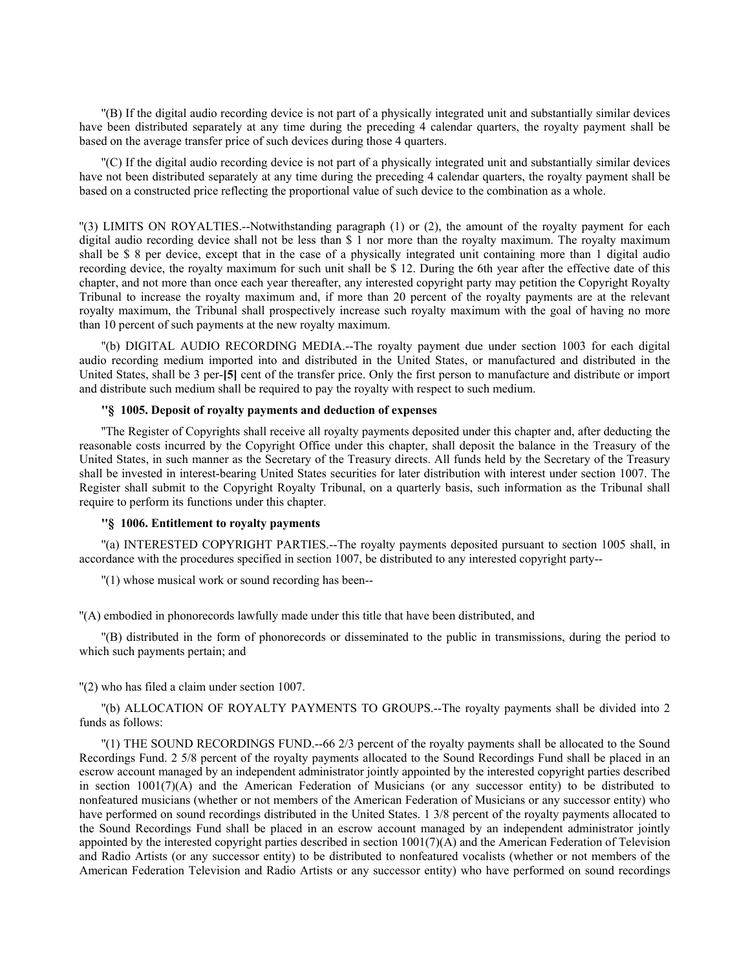''(B) If the digital audio recording device is not part of a physically integrated unit and substantially similar devices have been distributed separately at any time during the preceding 4 calendar quarters, the royalty payment shall be based on the average transfer price of such devices during those 4 quarters.

''(C) If the digital audio recording device is not part of a physically integrated unit and substantially similar devices have not been distributed separately at any time during the preceding 4 calendar quarters, the royalty payment shall be based on a constructed price reflecting the proportional value of such device to the combination as a whole.

''(3) LIMITS ON ROYALTIES.--Notwithstanding paragraph (1) or (2), the amount of the royalty payment for each digital audio recording device shall not be less than \$ 1 nor more than the royalty maximum. The royalty maximum shall be \$ 8 per device, except that in the case of a physically integrated unit containing more than 1 digital audio recording device, the royalty maximum for such unit shall be \$ 12. During the 6th year after the effective date of this chapter, and not more than once each year thereafter, any interested copyright party may petition the Copyright Royalty Tribunal to increase the royalty maximum and, if more than 20 percent of the royalty payments are at the relevant royalty maximum, the Tribunal shall prospectively increase such royalty maximum with the goal of having no more than 10 percent of such payments at the new royalty maximum.

''(b) DIGITAL AUDIO RECORDING MEDIA.--The royalty payment due under section 1003 for each digital audio recording medium imported into and distributed in the United States, or manufactured and distributed in the United States, shall be 3 per-**[5]** cent of the transfer price. Only the first person to manufacture and distribute or import and distribute such medium shall be required to pay the royalty with respect to such medium.

## **''§ 1005. Deposit of royalty payments and deduction of expenses**

''The Register of Copyrights shall receive all royalty payments deposited under this chapter and, after deducting the reasonable costs incurred by the Copyright Office under this chapter, shall deposit the balance in the Treasury of the United States, in such manner as the Secretary of the Treasury directs. All funds held by the Secretary of the Treasury shall be invested in interest-bearing United States securities for later distribution with interest under section 1007. The Register shall submit to the Copyright Royalty Tribunal, on a quarterly basis, such information as the Tribunal shall require to perform its functions under this chapter.

### **''§ 1006. Entitlement to royalty payments**

''(a) INTERESTED COPYRIGHT PARTIES.--The royalty payments deposited pursuant to section 1005 shall, in accordance with the procedures specified in section 1007, be distributed to any interested copyright party--

''(1) whose musical work or sound recording has been--

''(A) embodied in phonorecords lawfully made under this title that have been distributed, and

''(B) distributed in the form of phonorecords or disseminated to the public in transmissions, during the period to which such payments pertain; and

''(2) who has filed a claim under section 1007.

''(b) ALLOCATION OF ROYALTY PAYMENTS TO GROUPS.--The royalty payments shall be divided into 2 funds as follows:

''(1) THE SOUND RECORDINGS FUND.--66 2/3 percent of the royalty payments shall be allocated to the Sound Recordings Fund. 2 5/8 percent of the royalty payments allocated to the Sound Recordings Fund shall be placed in an escrow account managed by an independent administrator jointly appointed by the interested copyright parties described in section 1001(7)(A) and the American Federation of Musicians (or any successor entity) to be distributed to nonfeatured musicians (whether or not members of the American Federation of Musicians or any successor entity) who have performed on sound recordings distributed in the United States. 1 3/8 percent of the royalty payments allocated to the Sound Recordings Fund shall be placed in an escrow account managed by an independent administrator jointly appointed by the interested copyright parties described in section 1001(7)(A) and the American Federation of Television and Radio Artists (or any successor entity) to be distributed to nonfeatured vocalists (whether or not members of the American Federation Television and Radio Artists or any successor entity) who have performed on sound recordings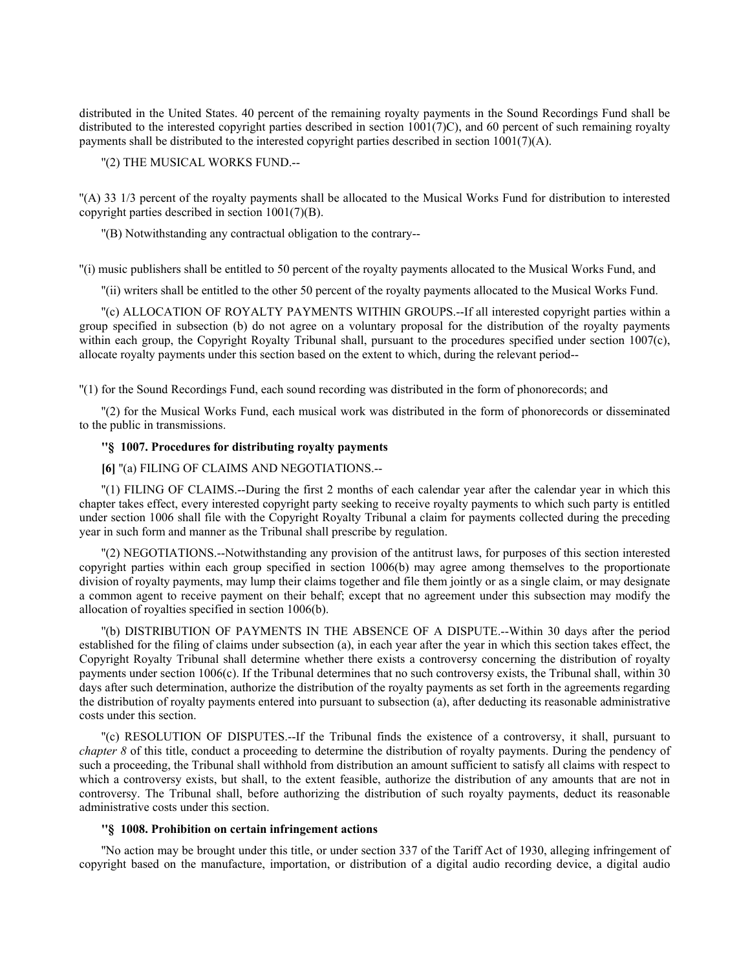distributed in the United States. 40 percent of the remaining royalty payments in the Sound Recordings Fund shall be distributed to the interested copyright parties described in section 1001(7)C), and 60 percent of such remaining royalty payments shall be distributed to the interested copyright parties described in section 1001(7)(A).

# ''(2) THE MUSICAL WORKS FUND.--

''(A) 33 1/3 percent of the royalty payments shall be allocated to the Musical Works Fund for distribution to interested copyright parties described in section 1001(7)(B).

''(B) Notwithstanding any contractual obligation to the contrary--

''(i) music publishers shall be entitled to 50 percent of the royalty payments allocated to the Musical Works Fund, and

''(ii) writers shall be entitled to the other 50 percent of the royalty payments allocated to the Musical Works Fund.

''(c) ALLOCATION OF ROYALTY PAYMENTS WITHIN GROUPS.--If all interested copyright parties within a group specified in subsection (b) do not agree on a voluntary proposal for the distribution of the royalty payments within each group, the Copyright Royalty Tribunal shall, pursuant to the procedures specified under section 1007(c), allocate royalty payments under this section based on the extent to which, during the relevant period--

''(1) for the Sound Recordings Fund, each sound recording was distributed in the form of phonorecords; and

''(2) for the Musical Works Fund, each musical work was distributed in the form of phonorecords or disseminated to the public in transmissions.

# **''§ 1007. Procedures for distributing royalty payments**

## **[6]** ''(a) FILING OF CLAIMS AND NEGOTIATIONS.--

''(1) FILING OF CLAIMS.--During the first 2 months of each calendar year after the calendar year in which this chapter takes effect, every interested copyright party seeking to receive royalty payments to which such party is entitled under section 1006 shall file with the Copyright Royalty Tribunal a claim for payments collected during the preceding year in such form and manner as the Tribunal shall prescribe by regulation.

''(2) NEGOTIATIONS.--Notwithstanding any provision of the antitrust laws, for purposes of this section interested copyright parties within each group specified in section 1006(b) may agree among themselves to the proportionate division of royalty payments, may lump their claims together and file them jointly or as a single claim, or may designate a common agent to receive payment on their behalf; except that no agreement under this subsection may modify the allocation of royalties specified in section 1006(b).

''(b) DISTRIBUTION OF PAYMENTS IN THE ABSENCE OF A DISPUTE.--Within 30 days after the period established for the filing of claims under subsection (a), in each year after the year in which this section takes effect, the Copyright Royalty Tribunal shall determine whether there exists a controversy concerning the distribution of royalty payments under section 1006(c). If the Tribunal determines that no such controversy exists, the Tribunal shall, within 30 days after such determination, authorize the distribution of the royalty payments as set forth in the agreements regarding the distribution of royalty payments entered into pursuant to subsection (a), after deducting its reasonable administrative costs under this section.

''(c) RESOLUTION OF DISPUTES.--If the Tribunal finds the existence of a controversy, it shall, pursuant to *chapter 8* of this title, conduct a proceeding to determine the distribution of royalty payments. During the pendency of such a proceeding, the Tribunal shall withhold from distribution an amount sufficient to satisfy all claims with respect to which a controversy exists, but shall, to the extent feasible, authorize the distribution of any amounts that are not in controversy. The Tribunal shall, before authorizing the distribution of such royalty payments, deduct its reasonable administrative costs under this section.

### **''§ 1008. Prohibition on certain infringement actions**

''No action may be brought under this title, or under section 337 of the Tariff Act of 1930, alleging infringement of copyright based on the manufacture, importation, or distribution of a digital audio recording device, a digital audio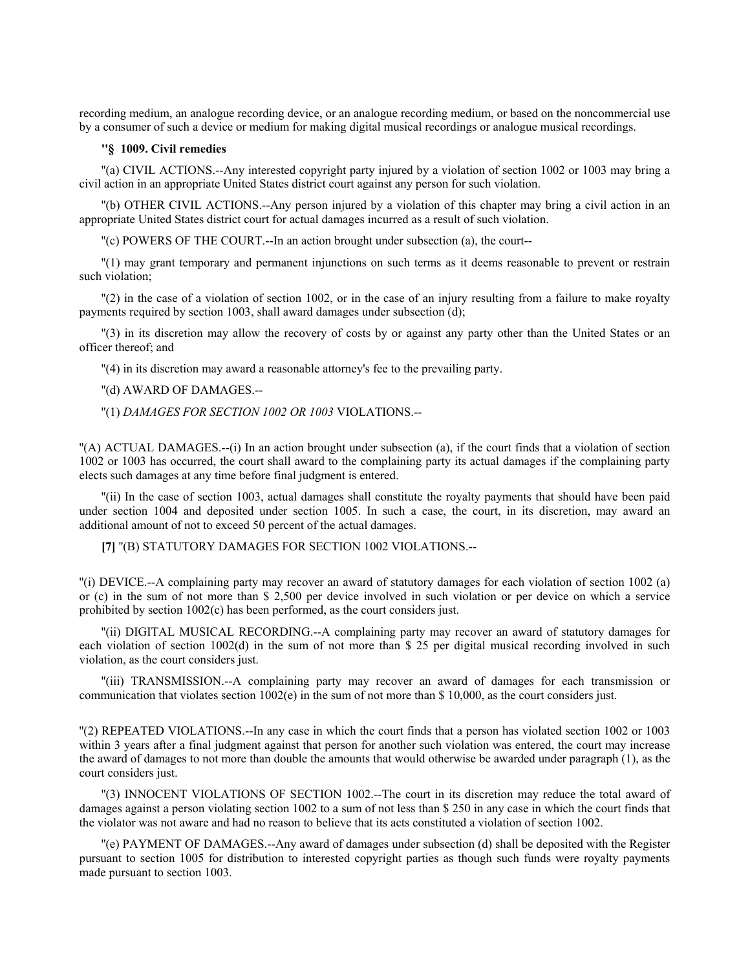recording medium, an analogue recording device, or an analogue recording medium, or based on the noncommercial use by a consumer of such a device or medium for making digital musical recordings or analogue musical recordings.

# **''§ 1009. Civil remedies**

''(a) CIVIL ACTIONS.--Any interested copyright party injured by a violation of section 1002 or 1003 may bring a civil action in an appropriate United States district court against any person for such violation.

''(b) OTHER CIVIL ACTIONS.--Any person injured by a violation of this chapter may bring a civil action in an appropriate United States district court for actual damages incurred as a result of such violation.

''(c) POWERS OF THE COURT.--In an action brought under subsection (a), the court--

''(1) may grant temporary and permanent injunctions on such terms as it deems reasonable to prevent or restrain such violation;

''(2) in the case of a violation of section 1002, or in the case of an injury resulting from a failure to make royalty payments required by section 1003, shall award damages under subsection (d);

''(3) in its discretion may allow the recovery of costs by or against any party other than the United States or an officer thereof; and

''(4) in its discretion may award a reasonable attorney's fee to the prevailing party.

''(d) AWARD OF DAMAGES.--

''(1) *DAMAGES FOR SECTION 1002 OR 1003* VIOLATIONS.--

''(A) ACTUAL DAMAGES.--(i) In an action brought under subsection (a), if the court finds that a violation of section 1002 or 1003 has occurred, the court shall award to the complaining party its actual damages if the complaining party elects such damages at any time before final judgment is entered.

''(ii) In the case of section 1003, actual damages shall constitute the royalty payments that should have been paid under section 1004 and deposited under section 1005. In such a case, the court, in its discretion, may award an additional amount of not to exceed 50 percent of the actual damages.

**[7]** ''(B) STATUTORY DAMAGES FOR SECTION 1002 VIOLATIONS.--

''(i) DEVICE.--A complaining party may recover an award of statutory damages for each violation of section 1002 (a) or (c) in the sum of not more than \$ 2,500 per device involved in such violation or per device on which a service prohibited by section 1002(c) has been performed, as the court considers just.

''(ii) DIGITAL MUSICAL RECORDING.--A complaining party may recover an award of statutory damages for each violation of section 1002(d) in the sum of not more than \$ 25 per digital musical recording involved in such violation, as the court considers just.

''(iii) TRANSMISSION.--A complaining party may recover an award of damages for each transmission or communication that violates section 1002(e) in the sum of not more than \$ 10,000, as the court considers just.

''(2) REPEATED VIOLATIONS.--In any case in which the court finds that a person has violated section 1002 or 1003 within 3 years after a final judgment against that person for another such violation was entered, the court may increase the award of damages to not more than double the amounts that would otherwise be awarded under paragraph (1), as the court considers just.

''(3) INNOCENT VIOLATIONS OF SECTION 1002.--The court in its discretion may reduce the total award of damages against a person violating section 1002 to a sum of not less than \$ 250 in any case in which the court finds that the violator was not aware and had no reason to believe that its acts constituted a violation of section 1002.

''(e) PAYMENT OF DAMAGES.--Any award of damages under subsection (d) shall be deposited with the Register pursuant to section 1005 for distribution to interested copyright parties as though such funds were royalty payments made pursuant to section 1003.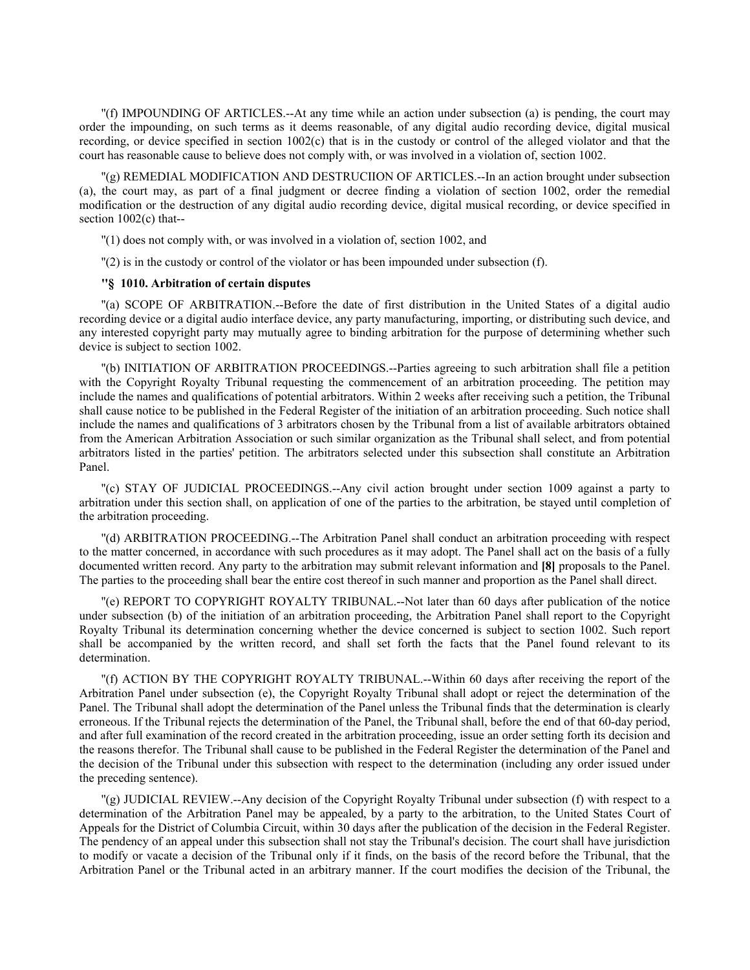''(f) IMPOUNDING OF ARTICLES.--At any time while an action under subsection (a) is pending, the court may order the impounding, on such terms as it deems reasonable, of any digital audio recording device, digital musical recording, or device specified in section 1002(c) that is in the custody or control of the alleged violator and that the court has reasonable cause to believe does not comply with, or was involved in a violation of, section 1002.

''(g) REMEDIAL MODIFICATION AND DESTRUCIION OF ARTICLES.--In an action brought under subsection (a), the court may, as part of a final judgment or decree finding a violation of section 1002, order the remedial modification or the destruction of any digital audio recording device, digital musical recording, or device specified in section 1002(c) that--

''(1) does not comply with, or was involved in a violation of, section 1002, and

''(2) is in the custody or control of the violator or has been impounded under subsection (f).

### **''§ 1010. Arbitration of certain disputes**

''(a) SCOPE OF ARBITRATION.--Before the date of first distribution in the United States of a digital audio recording device or a digital audio interface device, any party manufacturing, importing, or distributing such device, and any interested copyright party may mutually agree to binding arbitration for the purpose of determining whether such device is subject to section 1002.

''(b) INITIATION OF ARBITRATION PROCEEDINGS.--Parties agreeing to such arbitration shall file a petition with the Copyright Royalty Tribunal requesting the commencement of an arbitration proceeding. The petition may include the names and qualifications of potential arbitrators. Within 2 weeks after receiving such a petition, the Tribunal shall cause notice to be published in the Federal Register of the initiation of an arbitration proceeding. Such notice shall include the names and qualifications of 3 arbitrators chosen by the Tribunal from a list of available arbitrators obtained from the American Arbitration Association or such similar organization as the Tribunal shall select, and from potential arbitrators listed in the parties' petition. The arbitrators selected under this subsection shall constitute an Arbitration Panel.

''(c) STAY OF JUDICIAL PROCEEDINGS.--Any civil action brought under section 1009 against a party to arbitration under this section shall, on application of one of the parties to the arbitration, be stayed until completion of the arbitration proceeding.

''(d) ARBITRATION PROCEEDING.--The Arbitration Panel shall conduct an arbitration proceeding with respect to the matter concerned, in accordance with such procedures as it may adopt. The Panel shall act on the basis of a fully documented written record. Any party to the arbitration may submit relevant information and **[8]** proposals to the Panel. The parties to the proceeding shall bear the entire cost thereof in such manner and proportion as the Panel shall direct.

''(e) REPORT TO COPYRIGHT ROYALTY TRIBUNAL.--Not later than 60 days after publication of the notice under subsection (b) of the initiation of an arbitration proceeding, the Arbitration Panel shall report to the Copyright Royalty Tribunal its determination concerning whether the device concerned is subject to section 1002. Such report shall be accompanied by the written record, and shall set forth the facts that the Panel found relevant to its determination.

''(f) ACTION BY THE COPYRIGHT ROYALTY TRIBUNAL.--Within 60 days after receiving the report of the Arbitration Panel under subsection (e), the Copyright Royalty Tribunal shall adopt or reject the determination of the Panel. The Tribunal shall adopt the determination of the Panel unless the Tribunal finds that the determination is clearly erroneous. If the Tribunal rejects the determination of the Panel, the Tribunal shall, before the end of that 60-day period, and after full examination of the record created in the arbitration proceeding, issue an order setting forth its decision and the reasons therefor. The Tribunal shall cause to be published in the Federal Register the determination of the Panel and the decision of the Tribunal under this subsection with respect to the determination (including any order issued under the preceding sentence).

''(g) JUDICIAL REVIEW.--Any decision of the Copyright Royalty Tribunal under subsection (f) with respect to a determination of the Arbitration Panel may be appealed, by a party to the arbitration, to the United States Court of Appeals for the District of Columbia Circuit, within 30 days after the publication of the decision in the Federal Register. The pendency of an appeal under this subsection shall not stay the Tribunal's decision. The court shall have jurisdiction to modify or vacate a decision of the Tribunal only if it finds, on the basis of the record before the Tribunal, that the Arbitration Panel or the Tribunal acted in an arbitrary manner. If the court modifies the decision of the Tribunal, the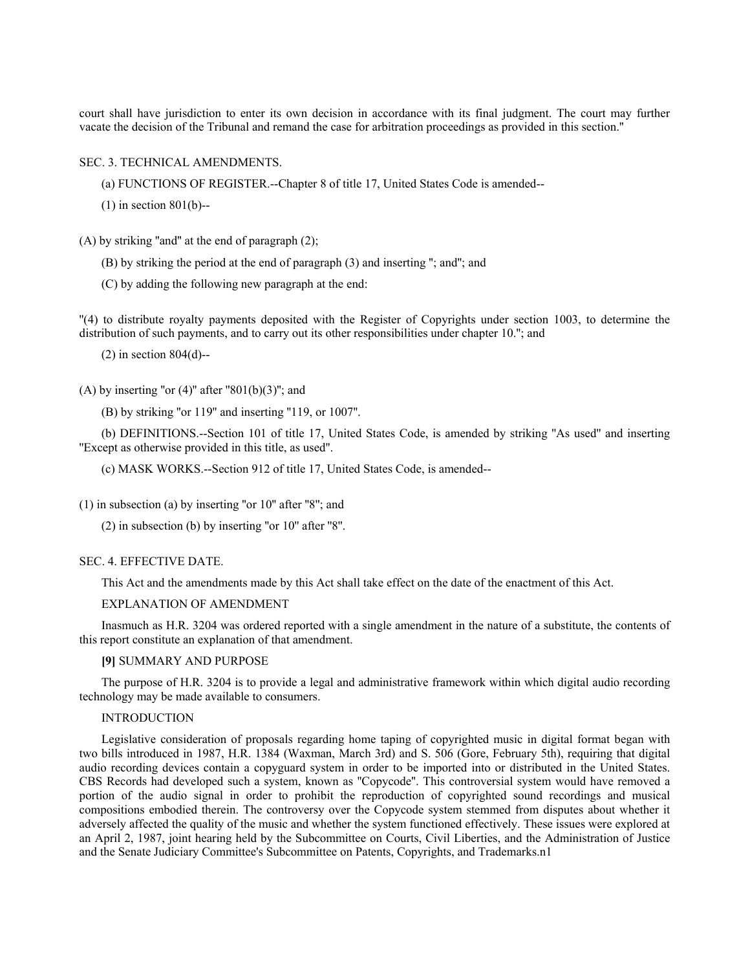court shall have jurisdiction to enter its own decision in accordance with its final judgment. The court may further vacate the decision of the Tribunal and remand the case for arbitration proceedings as provided in this section.''

### SEC. 3. TECHNICAL AMENDMENTS.

(a) FUNCTIONS OF REGISTER.--Chapter 8 of title 17, United States Code is amended--

(1) in section 801(b)--

(A) by striking ''and'' at the end of paragraph (2);

(B) by striking the period at the end of paragraph (3) and inserting ''; and''; and

(C) by adding the following new paragraph at the end:

''(4) to distribute royalty payments deposited with the Register of Copyrights under section 1003, to determine the distribution of such payments, and to carry out its other responsibilities under chapter 10.''; and

 $(2)$  in section 804 $(d)$ --

(A) by inserting "or  $(4)$ " after "801(b)(3)"; and

(B) by striking ''or 119'' and inserting ''119, or 1007''.

(b) DEFINITIONS.--Section 101 of title 17, United States Code, is amended by striking ''As used'' and inserting ''Except as otherwise provided in this title, as used''.

(c) MASK WORKS.--Section 912 of title 17, United States Code, is amended--

 $(1)$  in subsection (a) by inserting "or  $10$ " after "8"; and

(2) in subsection (b) by inserting ''or 10'' after ''8''.

#### SEC. 4. EFFECTIVE DATE.

This Act and the amendments made by this Act shall take effect on the date of the enactment of this Act.

EXPLANATION OF AMENDMENT

Inasmuch as H.R. 3204 was ordered reported with a single amendment in the nature of a substitute, the contents of this report constitute an explanation of that amendment.

### **[9]** SUMMARY AND PURPOSE

The purpose of H.R. 3204 is to provide a legal and administrative framework within which digital audio recording technology may be made available to consumers.

### INTRODUCTION

Legislative consideration of proposals regarding home taping of copyrighted music in digital format began with two bills introduced in 1987, H.R. 1384 (Waxman, March 3rd) and S. 506 (Gore, February 5th), requiring that digital audio recording devices contain a copyguard system in order to be imported into or distributed in the United States. CBS Records had developed such a system, known as ''Copycode''. This controversial system would have removed a portion of the audio signal in order to prohibit the reproduction of copyrighted sound recordings and musical compositions embodied therein. The controversy over the Copycode system stemmed from disputes about whether it adversely affected the quality of the music and whether the system functioned effectively. These issues were explored at an April 2, 1987, joint hearing held by the Subcommittee on Courts, Civil Liberties, and the Administration of Justice and the Senate Judiciary Committee's Subcommittee on Patents, Copyrights, and Trademarks.n1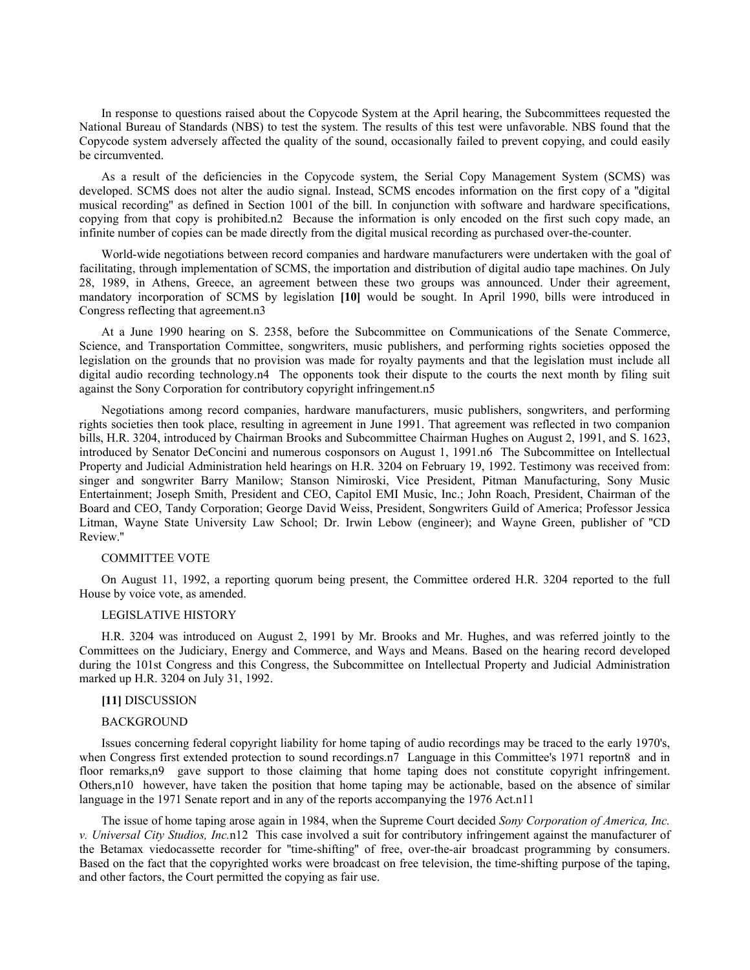In response to questions raised about the Copycode System at the April hearing, the Subcommittees requested the National Bureau of Standards (NBS) to test the system. The results of this test were unfavorable. NBS found that the Copycode system adversely affected the quality of the sound, occasionally failed to prevent copying, and could easily be circumvented.

As a result of the deficiencies in the Copycode system, the Serial Copy Management System (SCMS) was developed. SCMS does not alter the audio signal. Instead, SCMS encodes information on the first copy of a ''digital musical recording'' as defined in Section 1001 of the bill. In conjunction with software and hardware specifications, copying from that copy is prohibited.n2 Because the information is only encoded on the first such copy made, an infinite number of copies can be made directly from the digital musical recording as purchased over-the-counter.

World-wide negotiations between record companies and hardware manufacturers were undertaken with the goal of facilitating, through implementation of SCMS, the importation and distribution of digital audio tape machines. On July 28, 1989, in Athens, Greece, an agreement between these two groups was announced. Under their agreement, mandatory incorporation of SCMS by legislation **[10]** would be sought. In April 1990, bills were introduced in Congress reflecting that agreement.n3

At a June 1990 hearing on S. 2358, before the Subcommittee on Communications of the Senate Commerce, Science, and Transportation Committee, songwriters, music publishers, and performing rights societies opposed the legislation on the grounds that no provision was made for royalty payments and that the legislation must include all digital audio recording technology.n4 The opponents took their dispute to the courts the next month by filing suit against the Sony Corporation for contributory copyright infringement.n5

Negotiations among record companies, hardware manufacturers, music publishers, songwriters, and performing rights societies then took place, resulting in agreement in June 1991. That agreement was reflected in two companion bills, H.R. 3204, introduced by Chairman Brooks and Subcommittee Chairman Hughes on August 2, 1991, and S. 1623, introduced by Senator DeConcini and numerous cosponsors on August 1, 1991.n6 The Subcommittee on Intellectual Property and Judicial Administration held hearings on H.R. 3204 on February 19, 1992. Testimony was received from: singer and songwriter Barry Manilow; Stanson Nimiroski, Vice President, Pitman Manufacturing, Sony Music Entertainment; Joseph Smith, President and CEO, Capitol EMI Music, Inc.; John Roach, President, Chairman of the Board and CEO, Tandy Corporation; George David Weiss, President, Songwriters Guild of America; Professor Jessica Litman, Wayne State University Law School; Dr. Irwin Lebow (engineer); and Wayne Green, publisher of ''CD Review.''

# COMMITTEE VOTE

On August 11, 1992, a reporting quorum being present, the Committee ordered H.R. 3204 reported to the full House by voice vote, as amended.

### LEGISLATIVE HISTORY

H.R. 3204 was introduced on August 2, 1991 by Mr. Brooks and Mr. Hughes, and was referred jointly to the Committees on the Judiciary, Energy and Commerce, and Ways and Means. Based on the hearing record developed during the 101st Congress and this Congress, the Subcommittee on Intellectual Property and Judicial Administration marked up H.R. 3204 on July 31, 1992.

# **[11]** DISCUSSION

### BACKGROUND

Issues concerning federal copyright liability for home taping of audio recordings may be traced to the early 1970's, when Congress first extended protection to sound recordings.n7 Language in this Committee's 1971 reportn8 and in floor remarks,n9 gave support to those claiming that home taping does not constitute copyright infringement. Others,n10 however, have taken the position that home taping may be actionable, based on the absence of similar language in the 1971 Senate report and in any of the reports accompanying the 1976 Act.n11

The issue of home taping arose again in 1984, when the Supreme Court decided *Sony Corporation of America, Inc. v. Universal City Studios, Inc.*n12 This case involved a suit for contributory infringement against the manufacturer of the Betamax viedocassette recorder for ''time-shifting'' of free, over-the-air broadcast programming by consumers. Based on the fact that the copyrighted works were broadcast on free television, the time-shifting purpose of the taping, and other factors, the Court permitted the copying as fair use.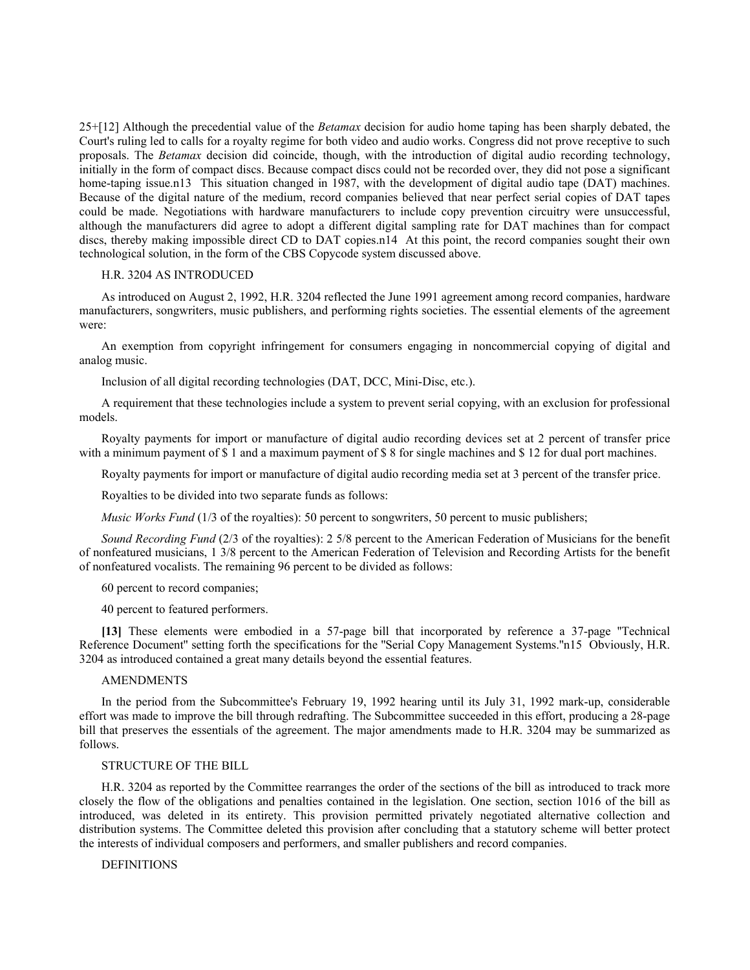25+[12] Although the precedential value of the *Betamax* decision for audio home taping has been sharply debated, the Court's ruling led to calls for a royalty regime for both video and audio works. Congress did not prove receptive to such proposals. The *Betamax* decision did coincide, though, with the introduction of digital audio recording technology, initially in the form of compact discs. Because compact discs could not be recorded over, they did not pose a significant home-taping issue.n13 This situation changed in 1987, with the development of digital audio tape (DAT) machines. Because of the digital nature of the medium, record companies believed that near perfect serial copies of DAT tapes could be made. Negotiations with hardware manufacturers to include copy prevention circuitry were unsuccessful, although the manufacturers did agree to adopt a different digital sampling rate for DAT machines than for compact discs, thereby making impossible direct CD to DAT copies.n14 At this point, the record companies sought their own technological solution, in the form of the CBS Copycode system discussed above.

### H.R. 3204 AS INTRODUCED

As introduced on August 2, 1992, H.R. 3204 reflected the June 1991 agreement among record companies, hardware manufacturers, songwriters, music publishers, and performing rights societies. The essential elements of the agreement were:

An exemption from copyright infringement for consumers engaging in noncommercial copying of digital and analog music.

Inclusion of all digital recording technologies (DAT, DCC, Mini-Disc, etc.).

A requirement that these technologies include a system to prevent serial copying, with an exclusion for professional models.

Royalty payments for import or manufacture of digital audio recording devices set at 2 percent of transfer price with a minimum payment of \$1 and a maximum payment of \$8 for single machines and \$12 for dual port machines.

Royalty payments for import or manufacture of digital audio recording media set at 3 percent of the transfer price.

Royalties to be divided into two separate funds as follows:

*Music Works Fund* (1/3 of the royalties): 50 percent to songwriters, 50 percent to music publishers;

*Sound Recording Fund* (2/3 of the royalties): 2 5/8 percent to the American Federation of Musicians for the benefit of nonfeatured musicians, 1 3/8 percent to the American Federation of Television and Recording Artists for the benefit of nonfeatured vocalists. The remaining 96 percent to be divided as follows:

60 percent to record companies;

40 percent to featured performers.

**[13]** These elements were embodied in a 57-page bill that incorporated by reference a 37-page ''Technical Reference Document'' setting forth the specifications for the ''Serial Copy Management Systems.''n15 Obviously, H.R. 3204 as introduced contained a great many details beyond the essential features.

### **AMENDMENTS**

In the period from the Subcommittee's February 19, 1992 hearing until its July 31, 1992 mark-up, considerable effort was made to improve the bill through redrafting. The Subcommittee succeeded in this effort, producing a 28-page bill that preserves the essentials of the agreement. The major amendments made to H.R. 3204 may be summarized as follows.

#### STRUCTURE OF THE BILL

H.R. 3204 as reported by the Committee rearranges the order of the sections of the bill as introduced to track more closely the flow of the obligations and penalties contained in the legislation. One section, section 1016 of the bill as introduced, was deleted in its entirety. This provision permitted privately negotiated alternative collection and distribution systems. The Committee deleted this provision after concluding that a statutory scheme will better protect the interests of individual composers and performers, and smaller publishers and record companies.

**DEFINITIONS**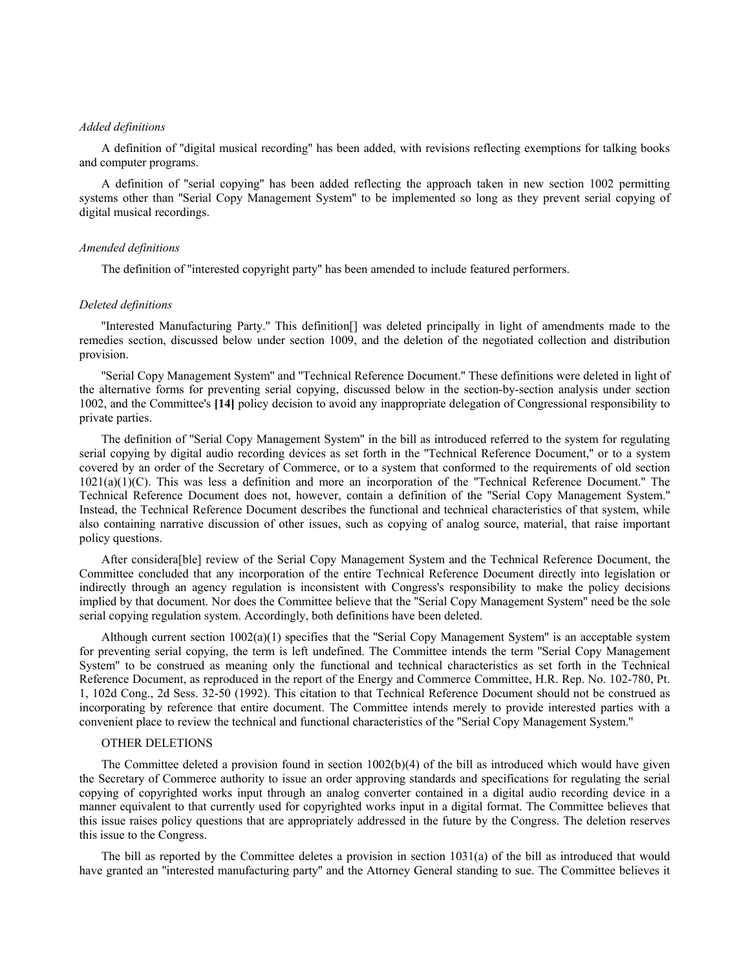## *Added definitions*

A definition of ''digital musical recording'' has been added, with revisions reflecting exemptions for talking books and computer programs.

A definition of ''serial copying'' has been added reflecting the approach taken in new section 1002 permitting systems other than "Serial Copy Management System" to be implemented so long as they prevent serial copying of digital musical recordings.

#### *Amended definitions*

The definition of ''interested copyright party'' has been amended to include featured performers.

### *Deleted definitions*

''Interested Manufacturing Party.'' This definition[] was deleted principally in light of amendments made to the remedies section, discussed below under section 1009, and the deletion of the negotiated collection and distribution provision.

''Serial Copy Management System'' and ''Technical Reference Document.'' These definitions were deleted in light of the alternative forms for preventing serial copying, discussed below in the section-by-section analysis under section 1002, and the Committee's **[14]** policy decision to avoid any inappropriate delegation of Congressional responsibility to private parties.

The definition of ''Serial Copy Management System'' in the bill as introduced referred to the system for regulating serial copying by digital audio recording devices as set forth in the ''Technical Reference Document,'' or to a system covered by an order of the Secretary of Commerce, or to a system that conformed to the requirements of old section 1021(a)(1)(C). This was less a definition and more an incorporation of the ''Technical Reference Document.'' The Technical Reference Document does not, however, contain a definition of the ''Serial Copy Management System.'' Instead, the Technical Reference Document describes the functional and technical characteristics of that system, while also containing narrative discussion of other issues, such as copying of analog source, material, that raise important policy questions.

After considera[ble] review of the Serial Copy Management System and the Technical Reference Document, the Committee concluded that any incorporation of the entire Technical Reference Document directly into legislation or indirectly through an agency regulation is inconsistent with Congress's responsibility to make the policy decisions implied by that document. Nor does the Committee believe that the ''Serial Copy Management System'' need be the sole serial copying regulation system. Accordingly, both definitions have been deleted.

Although current section  $1002(a)(1)$  specifies that the "Serial Copy Management System" is an acceptable system for preventing serial copying, the term is left undefined. The Committee intends the term ''Serial Copy Management System'' to be construed as meaning only the functional and technical characteristics as set forth in the Technical Reference Document, as reproduced in the report of the Energy and Commerce Committee, H.R. Rep. No. 102-780, Pt. 1, 102d Cong., 2d Sess. 32-50 (1992). This citation to that Technical Reference Document should not be construed as incorporating by reference that entire document. The Committee intends merely to provide interested parties with a convenient place to review the technical and functional characteristics of the ''Serial Copy Management System.''

## OTHER DELETIONS

The Committee deleted a provision found in section  $1002(b)(4)$  of the bill as introduced which would have given the Secretary of Commerce authority to issue an order approving standards and specifications for regulating the serial copying of copyrighted works input through an analog converter contained in a digital audio recording device in a manner equivalent to that currently used for copyrighted works input in a digital format. The Committee believes that this issue raises policy questions that are appropriately addressed in the future by the Congress. The deletion reserves this issue to the Congress.

The bill as reported by the Committee deletes a provision in section 1031(a) of the bill as introduced that would have granted an ''interested manufacturing party'' and the Attorney General standing to sue. The Committee believes it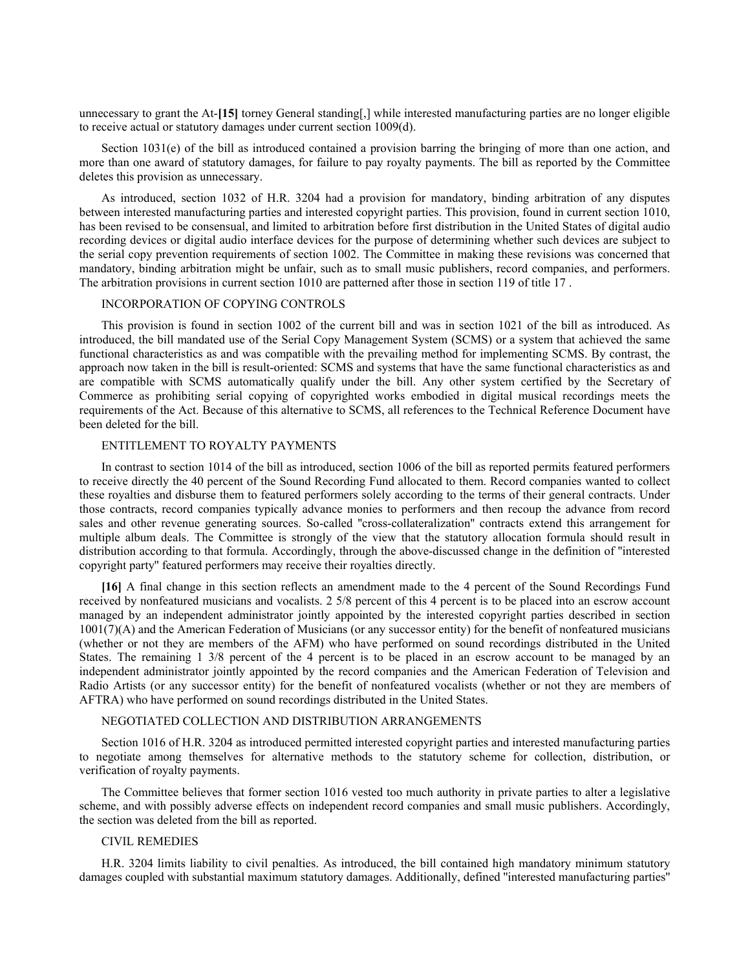unnecessary to grant the At-**[15]** torney General standing[,] while interested manufacturing parties are no longer eligible to receive actual or statutory damages under current section 1009(d).

Section 1031(e) of the bill as introduced contained a provision barring the bringing of more than one action, and more than one award of statutory damages, for failure to pay royalty payments. The bill as reported by the Committee deletes this provision as unnecessary.

As introduced, section 1032 of H.R. 3204 had a provision for mandatory, binding arbitration of any disputes between interested manufacturing parties and interested copyright parties. This provision, found in current section 1010, has been revised to be consensual, and limited to arbitration before first distribution in the United States of digital audio recording devices or digital audio interface devices for the purpose of determining whether such devices are subject to the serial copy prevention requirements of section 1002. The Committee in making these revisions was concerned that mandatory, binding arbitration might be unfair, such as to small music publishers, record companies, and performers. The arbitration provisions in current section 1010 are patterned after those in section 119 of title 17 .

### INCORPORATION OF COPYING CONTROLS

This provision is found in section 1002 of the current bill and was in section 1021 of the bill as introduced. As introduced, the bill mandated use of the Serial Copy Management System (SCMS) or a system that achieved the same functional characteristics as and was compatible with the prevailing method for implementing SCMS. By contrast, the approach now taken in the bill is result-oriented: SCMS and systems that have the same functional characteristics as and are compatible with SCMS automatically qualify under the bill. Any other system certified by the Secretary of Commerce as prohibiting serial copying of copyrighted works embodied in digital musical recordings meets the requirements of the Act. Because of this alternative to SCMS, all references to the Technical Reference Document have been deleted for the bill.

# ENTITLEMENT TO ROYALTY PAYMENTS

In contrast to section 1014 of the bill as introduced, section 1006 of the bill as reported permits featured performers to receive directly the 40 percent of the Sound Recording Fund allocated to them. Record companies wanted to collect these royalties and disburse them to featured performers solely according to the terms of their general contracts. Under those contracts, record companies typically advance monies to performers and then recoup the advance from record sales and other revenue generating sources. So-called ''cross-collateralization'' contracts extend this arrangement for multiple album deals. The Committee is strongly of the view that the statutory allocation formula should result in distribution according to that formula. Accordingly, through the above-discussed change in the definition of ''interested copyright party'' featured performers may receive their royalties directly.

**[16]** A final change in this section reflects an amendment made to the 4 percent of the Sound Recordings Fund received by nonfeatured musicians and vocalists. 2 5/8 percent of this 4 percent is to be placed into an escrow account managed by an independent administrator jointly appointed by the interested copyright parties described in section  $1001(7)$ (A) and the American Federation of Musicians (or any successor entity) for the benefit of nonfeatured musicians (whether or not they are members of the AFM) who have performed on sound recordings distributed in the United States. The remaining 1 3/8 percent of the 4 percent is to be placed in an escrow account to be managed by an independent administrator jointly appointed by the record companies and the American Federation of Television and Radio Artists (or any successor entity) for the benefit of nonfeatured vocalists (whether or not they are members of AFTRA) who have performed on sound recordings distributed in the United States.

### NEGOTIATED COLLECTION AND DISTRIBUTION ARRANGEMENTS

Section 1016 of H.R. 3204 as introduced permitted interested copyright parties and interested manufacturing parties to negotiate among themselves for alternative methods to the statutory scheme for collection, distribution, or verification of royalty payments.

The Committee believes that former section 1016 vested too much authority in private parties to alter a legislative scheme, and with possibly adverse effects on independent record companies and small music publishers. Accordingly, the section was deleted from the bill as reported.

### CIVIL REMEDIES

H.R. 3204 limits liability to civil penalties. As introduced, the bill contained high mandatory minimum statutory damages coupled with substantial maximum statutory damages. Additionally, defined ''interested manufacturing parties''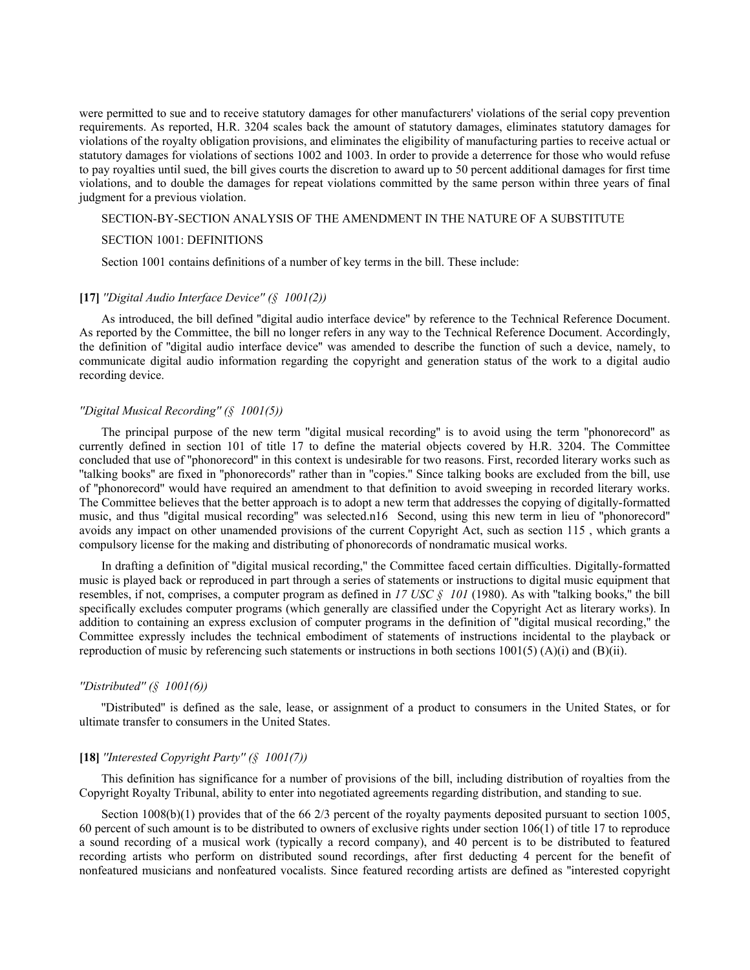were permitted to sue and to receive statutory damages for other manufacturers' violations of the serial copy prevention requirements. As reported, H.R. 3204 scales back the amount of statutory damages, eliminates statutory damages for violations of the royalty obligation provisions, and eliminates the eligibility of manufacturing parties to receive actual or statutory damages for violations of sections 1002 and 1003. In order to provide a deterrence for those who would refuse to pay royalties until sued, the bill gives courts the discretion to award up to 50 percent additional damages for first time violations, and to double the damages for repeat violations committed by the same person within three years of final judgment for a previous violation.

### SECTION-BY-SECTION ANALYSIS OF THE AMENDMENT IN THE NATURE OF A SUBSTITUTE

#### SECTION 1001: DEFINITIONS

Section 1001 contains definitions of a number of key terms in the bill. These include:

## **[17]** *''Digital Audio Interface Device'' (§ 1001(2))*

As introduced, the bill defined ''digital audio interface device'' by reference to the Technical Reference Document. As reported by the Committee, the bill no longer refers in any way to the Technical Reference Document. Accordingly, the definition of ''digital audio interface device'' was amended to describe the function of such a device, namely, to communicate digital audio information regarding the copyright and generation status of the work to a digital audio recording device.

### *''Digital Musical Recording'' (§ 1001(5))*

The principal purpose of the new term ''digital musical recording'' is to avoid using the term ''phonorecord'' as currently defined in section 101 of title 17 to define the material objects covered by H.R. 3204. The Committee concluded that use of ''phonorecord'' in this context is undesirable for two reasons. First, recorded literary works such as ''talking books'' are fixed in ''phonorecords'' rather than in ''copies.'' Since talking books are excluded from the bill, use of ''phonorecord'' would have required an amendment to that definition to avoid sweeping in recorded literary works. The Committee believes that the better approach is to adopt a new term that addresses the copying of digitally-formatted music, and thus ''digital musical recording'' was selected.n16 Second, using this new term in lieu of ''phonorecord'' avoids any impact on other unamended provisions of the current Copyright Act, such as section 115 , which grants a compulsory license for the making and distributing of phonorecords of nondramatic musical works.

In drafting a definition of ''digital musical recording,'' the Committee faced certain difficulties. Digitally-formatted music is played back or reproduced in part through a series of statements or instructions to digital music equipment that resembles, if not, comprises, a computer program as defined in  $17 \text{ USC} \& 101$  (1980). As with "talking books," the bill specifically excludes computer programs (which generally are classified under the Copyright Act as literary works). In addition to containing an express exclusion of computer programs in the definition of ''digital musical recording,'' the Committee expressly includes the technical embodiment of statements of instructions incidental to the playback or reproduction of music by referencing such statements or instructions in both sections 1001(5) (A)(i) and (B)(ii).

### *''Distributed'' (§ 1001(6))*

''Distributed'' is defined as the sale, lease, or assignment of a product to consumers in the United States, or for ultimate transfer to consumers in the United States.

### **[18]** *''Interested Copyright Party'' (§ 1001(7))*

This definition has significance for a number of provisions of the bill, including distribution of royalties from the Copyright Royalty Tribunal, ability to enter into negotiated agreements regarding distribution, and standing to sue.

Section  $1008(b)(1)$  provides that of the 66 2/3 percent of the royalty payments deposited pursuant to section 1005, 60 percent of such amount is to be distributed to owners of exclusive rights under section 106(1) of title 17 to reproduce a sound recording of a musical work (typically a record company), and 40 percent is to be distributed to featured recording artists who perform on distributed sound recordings, after first deducting 4 percent for the benefit of nonfeatured musicians and nonfeatured vocalists. Since featured recording artists are defined as ''interested copyright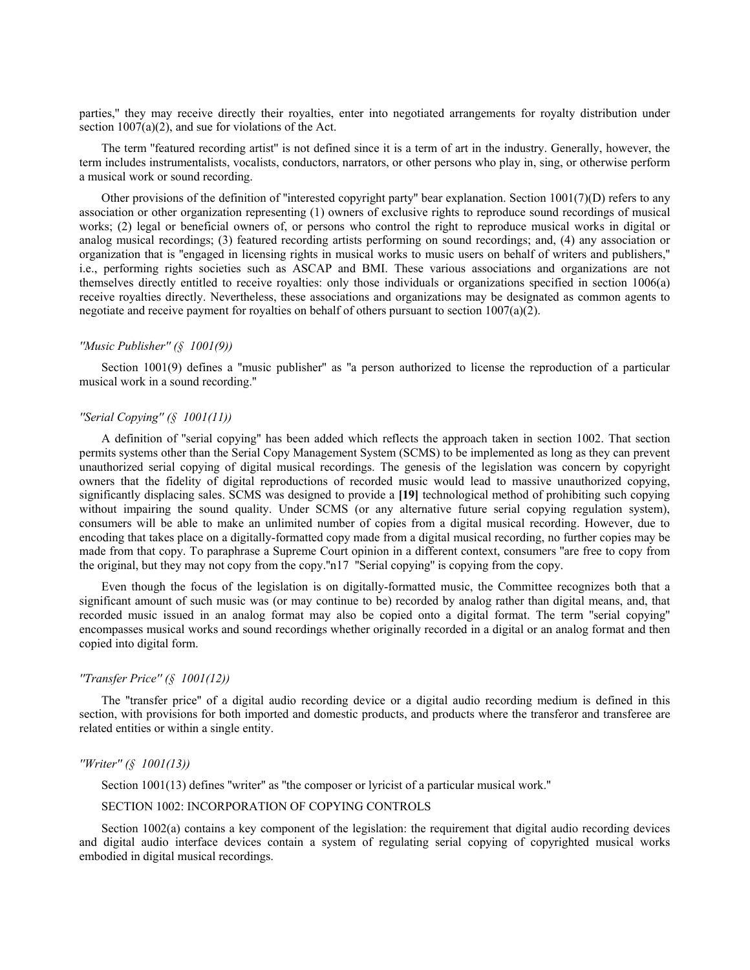parties," they may receive directly their royalties, enter into negotiated arrangements for royalty distribution under section  $1007(a)(2)$ , and sue for violations of the Act.

The term ''featured recording artist'' is not defined since it is a term of art in the industry. Generally, however, the term includes instrumentalists, vocalists, conductors, narrators, or other persons who play in, sing, or otherwise perform a musical work or sound recording.

Other provisions of the definition of "interested copyright party" bear explanation. Section  $1001(7)(D)$  refers to any association or other organization representing (1) owners of exclusive rights to reproduce sound recordings of musical works; (2) legal or beneficial owners of, or persons who control the right to reproduce musical works in digital or analog musical recordings; (3) featured recording artists performing on sound recordings; and, (4) any association or organization that is ''engaged in licensing rights in musical works to music users on behalf of writers and publishers,'' i.e., performing rights societies such as ASCAP and BMI. These various associations and organizations are not themselves directly entitled to receive royalties: only those individuals or organizations specified in section 1006(a) receive royalties directly. Nevertheless, these associations and organizations may be designated as common agents to negotiate and receive payment for royalties on behalf of others pursuant to section  $1007(a)(2)$ .

#### *''Music Publisher'' (§ 1001(9))*

Section 1001(9) defines a ''music publisher'' as ''a person authorized to license the reproduction of a particular musical work in a sound recording.''

### *''Serial Copying'' (§ 1001(11))*

A definition of ''serial copying'' has been added which reflects the approach taken in section 1002. That section permits systems other than the Serial Copy Management System (SCMS) to be implemented as long as they can prevent unauthorized serial copying of digital musical recordings. The genesis of the legislation was concern by copyright owners that the fidelity of digital reproductions of recorded music would lead to massive unauthorized copying, significantly displacing sales. SCMS was designed to provide a **[19]** technological method of prohibiting such copying without impairing the sound quality. Under SCMS (or any alternative future serial copying regulation system), consumers will be able to make an unlimited number of copies from a digital musical recording. However, due to encoding that takes place on a digitally-formatted copy made from a digital musical recording, no further copies may be made from that copy. To paraphrase a Supreme Court opinion in a different context, consumers "are free to copy from the original, but they may not copy from the copy.''n17 ''Serial copying'' is copying from the copy.

Even though the focus of the legislation is on digitally-formatted music, the Committee recognizes both that a significant amount of such music was (or may continue to be) recorded by analog rather than digital means, and, that recorded music issued in an analog format may also be copied onto a digital format. The term ''serial copying'' encompasses musical works and sound recordings whether originally recorded in a digital or an analog format and then copied into digital form.

### *''Transfer Price'' (§ 1001(12))*

The ''transfer price'' of a digital audio recording device or a digital audio recording medium is defined in this section, with provisions for both imported and domestic products, and products where the transferor and transferee are related entities or within a single entity.

### *''Writer'' (§ 1001(13))*

Section 1001(13) defines "writer" as "the composer or lyricist of a particular musical work."

## SECTION 1002: INCORPORATION OF COPYING CONTROLS

Section 1002(a) contains a key component of the legislation: the requirement that digital audio recording devices and digital audio interface devices contain a system of regulating serial copying of copyrighted musical works embodied in digital musical recordings.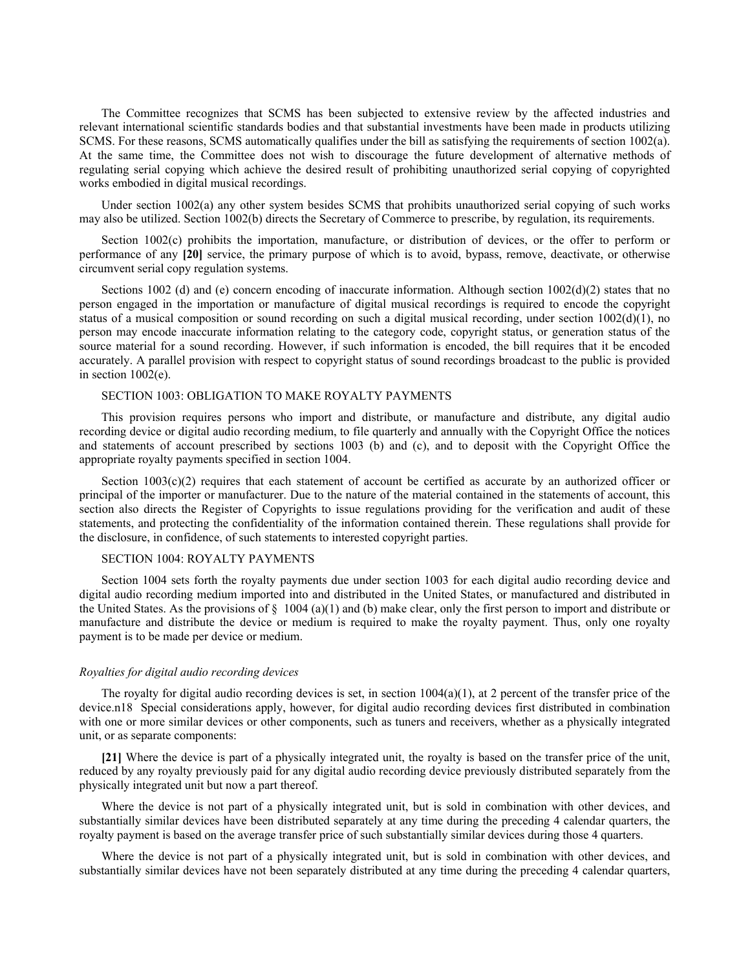The Committee recognizes that SCMS has been subjected to extensive review by the affected industries and relevant international scientific standards bodies and that substantial investments have been made in products utilizing SCMS. For these reasons, SCMS automatically qualifies under the bill as satisfying the requirements of section 1002(a). At the same time, the Committee does not wish to discourage the future development of alternative methods of regulating serial copying which achieve the desired result of prohibiting unauthorized serial copying of copyrighted works embodied in digital musical recordings.

Under section 1002(a) any other system besides SCMS that prohibits unauthorized serial copying of such works may also be utilized. Section 1002(b) directs the Secretary of Commerce to prescribe, by regulation, its requirements.

Section 1002(c) prohibits the importation, manufacture, or distribution of devices, or the offer to perform or performance of any **[20]** service, the primary purpose of which is to avoid, bypass, remove, deactivate, or otherwise circumvent serial copy regulation systems.

Sections 1002 (d) and (e) concern encoding of inaccurate information. Although section 1002(d)(2) states that no person engaged in the importation or manufacture of digital musical recordings is required to encode the copyright status of a musical composition or sound recording on such a digital musical recording, under section 1002(d)(1), no person may encode inaccurate information relating to the category code, copyright status, or generation status of the source material for a sound recording. However, if such information is encoded, the bill requires that it be encoded accurately. A parallel provision with respect to copyright status of sound recordings broadcast to the public is provided in section 1002(e).

## SECTION 1003: OBLIGATION TO MAKE ROYALTY PAYMENTS

This provision requires persons who import and distribute, or manufacture and distribute, any digital audio recording device or digital audio recording medium, to file quarterly and annually with the Copyright Office the notices and statements of account prescribed by sections 1003 (b) and (c), and to deposit with the Copyright Office the appropriate royalty payments specified in section 1004.

Section  $1003(c)(2)$  requires that each statement of account be certified as accurate by an authorized officer or principal of the importer or manufacturer. Due to the nature of the material contained in the statements of account, this section also directs the Register of Copyrights to issue regulations providing for the verification and audit of these statements, and protecting the confidentiality of the information contained therein. These regulations shall provide for the disclosure, in confidence, of such statements to interested copyright parties.

### SECTION 1004: ROYALTY PAYMENTS

Section 1004 sets forth the royalty payments due under section 1003 for each digital audio recording device and digital audio recording medium imported into and distributed in the United States, or manufactured and distributed in the United States. As the provisions of  $\S$  1004 (a)(1) and (b) make clear, only the first person to import and distribute or manufacture and distribute the device or medium is required to make the royalty payment. Thus, only one royalty payment is to be made per device or medium.

#### *Royalties for digital audio recording devices*

The royalty for digital audio recording devices is set, in section  $1004(a)(1)$ , at 2 percent of the transfer price of the device.n18 Special considerations apply, however, for digital audio recording devices first distributed in combination with one or more similar devices or other components, such as tuners and receivers, whether as a physically integrated unit, or as separate components:

**[21]** Where the device is part of a physically integrated unit, the royalty is based on the transfer price of the unit, reduced by any royalty previously paid for any digital audio recording device previously distributed separately from the physically integrated unit but now a part thereof.

Where the device is not part of a physically integrated unit, but is sold in combination with other devices, and substantially similar devices have been distributed separately at any time during the preceding 4 calendar quarters, the royalty payment is based on the average transfer price of such substantially similar devices during those 4 quarters.

Where the device is not part of a physically integrated unit, but is sold in combination with other devices, and substantially similar devices have not been separately distributed at any time during the preceding 4 calendar quarters,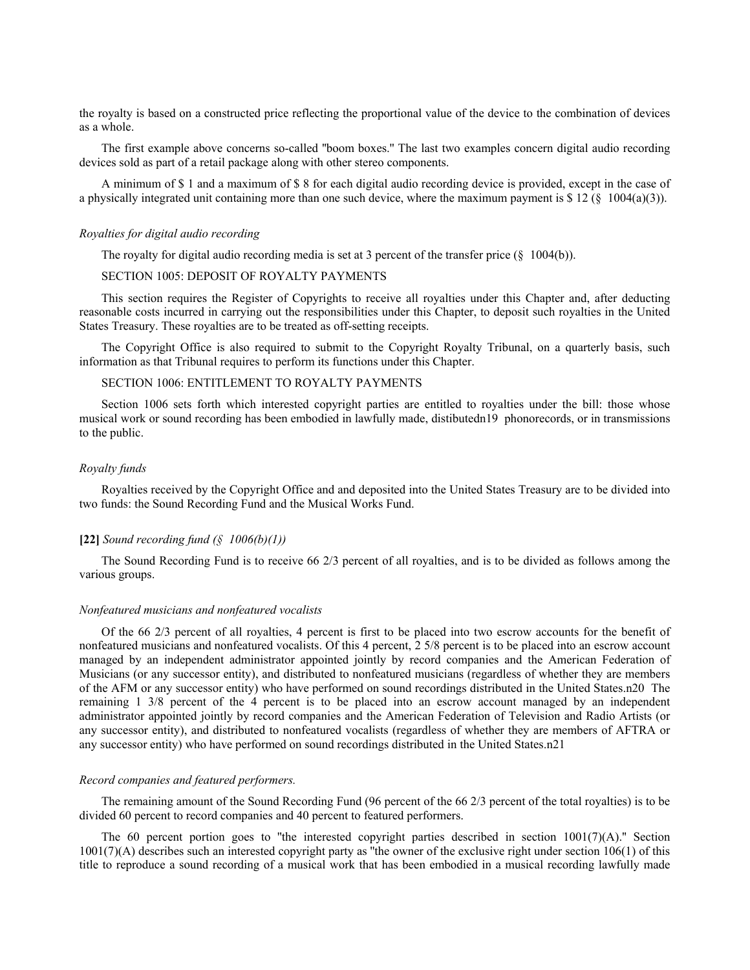the royalty is based on a constructed price reflecting the proportional value of the device to the combination of devices as a whole.

The first example above concerns so-called ''boom boxes.'' The last two examples concern digital audio recording devices sold as part of a retail package along with other stereo components.

A minimum of \$ 1 and a maximum of \$ 8 for each digital audio recording device is provided, except in the case of a physically integrated unit containing more than one such device, where the maximum payment is  $\frac{12}{\frac{8}{2}}$  1004(a)(3)).

#### *Royalties for digital audio recording*

The royalty for digital audio recording media is set at 3 percent of the transfer price  $(\S 1004(b))$ .

# SECTION 1005: DEPOSIT OF ROYALTY PAYMENTS

This section requires the Register of Copyrights to receive all royalties under this Chapter and, after deducting reasonable costs incurred in carrying out the responsibilities under this Chapter, to deposit such royalties in the United States Treasury. These royalties are to be treated as off-setting receipts.

The Copyright Office is also required to submit to the Copyright Royalty Tribunal, on a quarterly basis, such information as that Tribunal requires to perform its functions under this Chapter.

## SECTION 1006: ENTITLEMENT TO ROYALTY PAYMENTS

Section 1006 sets forth which interested copyright parties are entitled to royalties under the bill: those whose musical work or sound recording has been embodied in lawfully made, distibutedn19 phonorecords, or in transmissions to the public.

#### *Royalty funds*

Royalties received by the Copyright Office and and deposited into the United States Treasury are to be divided into two funds: the Sound Recording Fund and the Musical Works Fund.

### **[22]** *Sound recording fund (§ 1006(b)(1))*

The Sound Recording Fund is to receive 66 2/3 percent of all royalties, and is to be divided as follows among the various groups.

#### *Nonfeatured musicians and nonfeatured vocalists*

Of the 66 2/3 percent of all royalties, 4 percent is first to be placed into two escrow accounts for the benefit of nonfeatured musicians and nonfeatured vocalists. Of this 4 percent, 2 5/8 percent is to be placed into an escrow account managed by an independent administrator appointed jointly by record companies and the American Federation of Musicians (or any successor entity), and distributed to nonfeatured musicians (regardless of whether they are members of the AFM or any successor entity) who have performed on sound recordings distributed in the United States.n20 The remaining 1 3/8 percent of the 4 percent is to be placed into an escrow account managed by an independent administrator appointed jointly by record companies and the American Federation of Television and Radio Artists (or any successor entity), and distributed to nonfeatured vocalists (regardless of whether they are members of AFTRA or any successor entity) who have performed on sound recordings distributed in the United States.n21

#### *Record companies and featured performers.*

The remaining amount of the Sound Recording Fund (96 percent of the 66 2/3 percent of the total royalties) is to be divided 60 percent to record companies and 40 percent to featured performers.

The 60 percent portion goes to "the interested copyright parties described in section  $1001(7)(A)$ ." Section  $1001(7)(A)$  describes such an interested copyright party as "the owner of the exclusive right under section  $106(1)$  of this title to reproduce a sound recording of a musical work that has been embodied in a musical recording lawfully made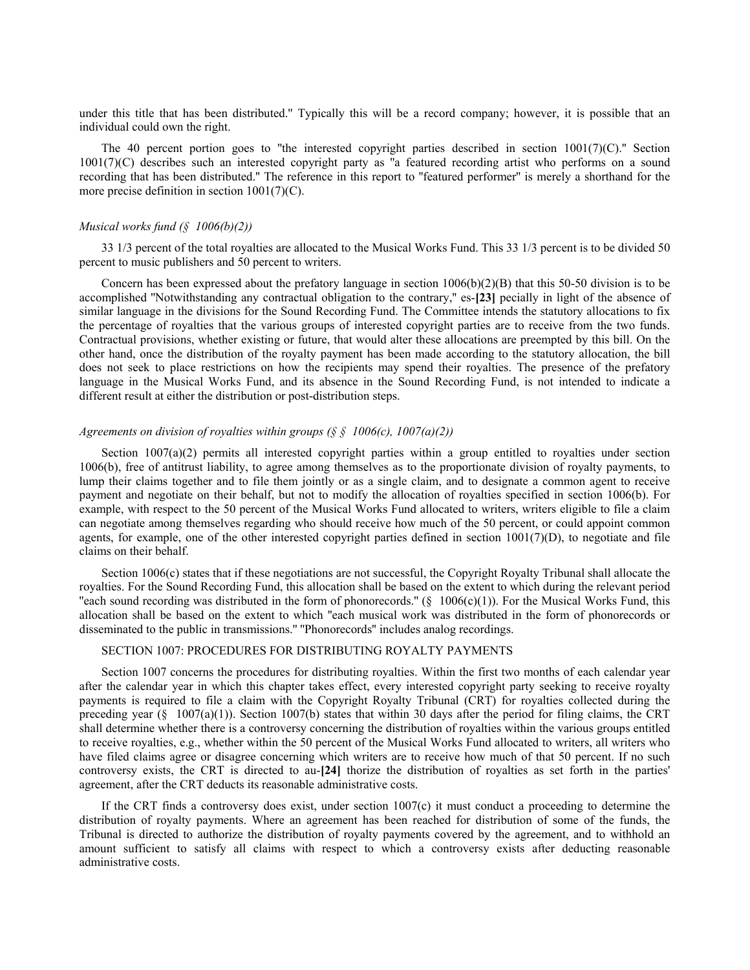under this title that has been distributed.'' Typically this will be a record company; however, it is possible that an individual could own the right.

The 40 percent portion goes to "the interested copyright parties described in section  $1001(7)(C)$ ." Section 1001(7)(C) describes such an interested copyright party as ''a featured recording artist who performs on a sound recording that has been distributed.'' The reference in this report to ''featured performer'' is merely a shorthand for the more precise definition in section 1001(7)(C).

#### *Musical works fund (§ 1006(b)(2))*

33 1/3 percent of the total royalties are allocated to the Musical Works Fund. This 33 1/3 percent is to be divided 50 percent to music publishers and 50 percent to writers.

Concern has been expressed about the prefatory language in section  $1006(b)(2)(B)$  that this 50-50 division is to be accomplished ''Notwithstanding any contractual obligation to the contrary,'' es-**[23]** pecially in light of the absence of similar language in the divisions for the Sound Recording Fund. The Committee intends the statutory allocations to fix the percentage of royalties that the various groups of interested copyright parties are to receive from the two funds. Contractual provisions, whether existing or future, that would alter these allocations are preempted by this bill. On the other hand, once the distribution of the royalty payment has been made according to the statutory allocation, the bill does not seek to place restrictions on how the recipients may spend their royalties. The presence of the prefatory language in the Musical Works Fund, and its absence in the Sound Recording Fund, is not intended to indicate a different result at either the distribution or post-distribution steps.

## *Agreements on division of royalties within groups (§ § 1006(c), 1007(a)(2))*

Section 1007(a)(2) permits all interested copyright parties within a group entitled to royalties under section 1006(b), free of antitrust liability, to agree among themselves as to the proportionate division of royalty payments, to lump their claims together and to file them jointly or as a single claim, and to designate a common agent to receive payment and negotiate on their behalf, but not to modify the allocation of royalties specified in section 1006(b). For example, with respect to the 50 percent of the Musical Works Fund allocated to writers, writers eligible to file a claim can negotiate among themselves regarding who should receive how much of the 50 percent, or could appoint common agents, for example, one of the other interested copyright parties defined in section  $1001(7)(D)$ , to negotiate and file claims on their behalf.

Section 1006(c) states that if these negotiations are not successful, the Copyright Royalty Tribunal shall allocate the royalties. For the Sound Recording Fund, this allocation shall be based on the extent to which during the relevant period "each sound recording was distributed in the form of phonorecords."  $(\S 1006(c)(1))$ . For the Musical Works Fund, this allocation shall be based on the extent to which ''each musical work was distributed in the form of phonorecords or disseminated to the public in transmissions.'' ''Phonorecords'' includes analog recordings.

## SECTION 1007: PROCEDURES FOR DISTRIBUTING ROYALTY PAYMENTS

Section 1007 concerns the procedures for distributing royalties. Within the first two months of each calendar year after the calendar year in which this chapter takes effect, every interested copyright party seeking to receive royalty payments is required to file a claim with the Copyright Royalty Tribunal (CRT) for royalties collected during the preceding year  $(\S 1007(a)(1))$ . Section 1007(b) states that within 30 days after the period for filing claims, the CRT shall determine whether there is a controversy concerning the distribution of royalties within the various groups entitled to receive royalties, e.g., whether within the 50 percent of the Musical Works Fund allocated to writers, all writers who have filed claims agree or disagree concerning which writers are to receive how much of that 50 percent. If no such controversy exists, the CRT is directed to au-**[24]** thorize the distribution of royalties as set forth in the parties' agreement, after the CRT deducts its reasonable administrative costs.

If the CRT finds a controversy does exist, under section 1007(c) it must conduct a proceeding to determine the distribution of royalty payments. Where an agreement has been reached for distribution of some of the funds, the Tribunal is directed to authorize the distribution of royalty payments covered by the agreement, and to withhold an amount sufficient to satisfy all claims with respect to which a controversy exists after deducting reasonable administrative costs.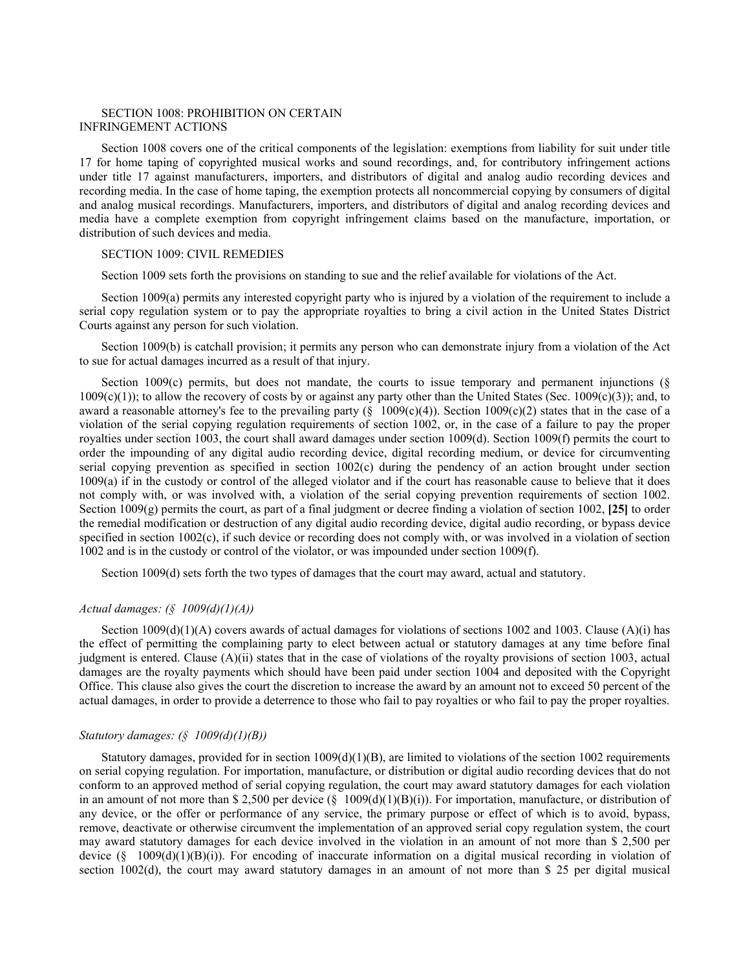## SECTION 1008: PROHIBITION ON CERTAIN INFRINGEMENT ACTIONS

Section 1008 covers one of the critical components of the legislation: exemptions from liability for suit under title 17 for home taping of copyrighted musical works and sound recordings, and, for contributory infringement actions under title 17 against manufacturers, importers, and distributors of digital and analog audio recording devices and recording media. In the case of home taping, the exemption protects all noncommercial copying by consumers of digital and analog musical recordings. Manufacturers, importers, and distributors of digital and analog recording devices and media have a complete exemption from copyright infringement claims based on the manufacture, importation, or distribution of such devices and media.

### SECTION 1009: CIVIL REMEDIES

Section 1009 sets forth the provisions on standing to sue and the relief available for violations of the Act.

Section 1009(a) permits any interested copyright party who is injured by a violation of the requirement to include a serial copy regulation system or to pay the appropriate royalties to bring a civil action in the United States District Courts against any person for such violation.

Section 1009(b) is catchall provision; it permits any person who can demonstrate injury from a violation of the Act to sue for actual damages incurred as a result of that injury.

Section 1009 $(c)$  permits, but does not mandate, the courts to issue temporary and permanent injunctions ( $\S$  $1009(c)(1)$ ; to allow the recovery of costs by or against any party other than the United States (Sec. 1009(c)(3)); and, to award a reasonable attorney's fee to the prevailing party  $(\S 1009(c)(4))$ . Section 1009(c)(2) states that in the case of a violation of the serial copying regulation requirements of section 1002, or, in the case of a failure to pay the proper royalties under section 1003, the court shall award damages under section 1009(d). Section 1009(f) permits the court to order the impounding of any digital audio recording device, digital recording medium, or device for circumventing serial copying prevention as specified in section 1002(c) during the pendency of an action brought under section 1009(a) if in the custody or control of the alleged violator and if the court has reasonable cause to believe that it does not comply with, or was involved with, a violation of the serial copying prevention requirements of section 1002. Section 1009(g) permits the court, as part of a final judgment or decree finding a violation of section 1002, **[25]** to order the remedial modification or destruction of any digital audio recording device, digital audio recording, or bypass device specified in section 1002(c), if such device or recording does not comply with, or was involved in a violation of section 1002 and is in the custody or control of the violator, or was impounded under section 1009(f).

Section 1009(d) sets forth the two types of damages that the court may award, actual and statutory.

## *Actual damages: (§ 1009(d)(1)(A))*

Section  $1009(d)(1)(A)$  covers awards of actual damages for violations of sections 1002 and 1003. Clause  $(A)(i)$  has the effect of permitting the complaining party to elect between actual or statutory damages at any time before final judgment is entered. Clause (A)(ii) states that in the case of violations of the royalty provisions of section 1003, actual damages are the royalty payments which should have been paid under section 1004 and deposited with the Copyright Office. This clause also gives the court the discretion to increase the award by an amount not to exceed 50 percent of the actual damages, in order to provide a deterrence to those who fail to pay royalties or who fail to pay the proper royalties.

### *Statutory damages: (§ 1009(d)(1)(B))*

Statutory damages, provided for in section  $1009(d)(1)(B)$ , are limited to violations of the section 1002 requirements on serial copying regulation. For importation, manufacture, or distribution or digital audio recording devices that do not conform to an approved method of serial copying regulation, the court may award statutory damages for each violation in an amount of not more than \$ 2,500 per device  $(\S 1009(d)(1)(B)(i))$ . For importation, manufacture, or distribution of any device, or the offer or performance of any service, the primary purpose or effect of which is to avoid, bypass, remove, deactivate or otherwise circumvent the implementation of an approved serial copy regulation system, the court may award statutory damages for each device involved in the violation in an amount of not more than \$ 2,500 per device (§ 1009(d)(1)(B)(i)). For encoding of inaccurate information on a digital musical recording in violation of section 1002(d), the court may award statutory damages in an amount of not more than \$ 25 per digital musical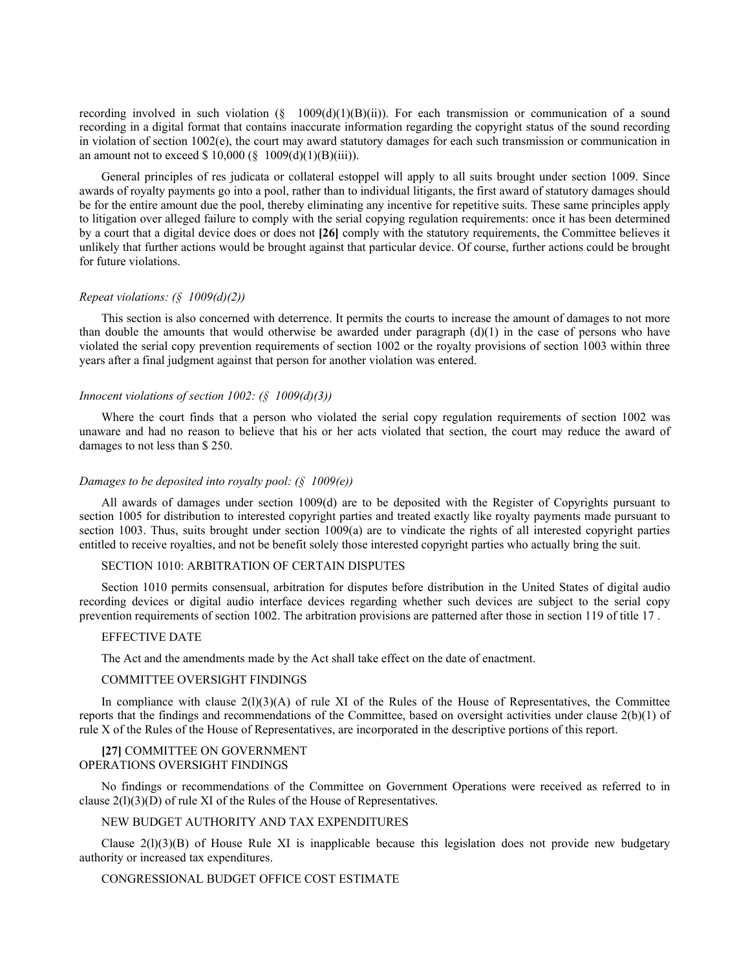recording involved in such violation  $(\S 1009(d)(1)(B)(ii))$ . For each transmission or communication of a sound recording in a digital format that contains inaccurate information regarding the copyright status of the sound recording in violation of section 1002(e), the court may award statutory damages for each such transmission or communication in an amount not to exceed \$ 10,000 ( $\S$  1009(d)(1)(B)(iii)).

General principles of res judicata or collateral estoppel will apply to all suits brought under section 1009. Since awards of royalty payments go into a pool, rather than to individual litigants, the first award of statutory damages should be for the entire amount due the pool, thereby eliminating any incentive for repetitive suits. These same principles apply to litigation over alleged failure to comply with the serial copying regulation requirements: once it has been determined by a court that a digital device does or does not **[26]** comply with the statutory requirements, the Committee believes it unlikely that further actions would be brought against that particular device. Of course, further actions could be brought for future violations.

## *Repeat violations: (§ 1009(d)(2))*

This section is also concerned with deterrence. It permits the courts to increase the amount of damages to not more than double the amounts that would otherwise be awarded under paragraph  $(d)(1)$  in the case of persons who have violated the serial copy prevention requirements of section 1002 or the royalty provisions of section 1003 within three years after a final judgment against that person for another violation was entered.

#### *Innocent violations of section 1002: (§ 1009(d)(3))*

Where the court finds that a person who violated the serial copy regulation requirements of section 1002 was unaware and had no reason to believe that his or her acts violated that section, the court may reduce the award of damages to not less than \$ 250.

#### *Damages to be deposited into royalty pool: (§ 1009(e))*

All awards of damages under section 1009(d) are to be deposited with the Register of Copyrights pursuant to section 1005 for distribution to interested copyright parties and treated exactly like royalty payments made pursuant to section 1003. Thus, suits brought under section 1009(a) are to vindicate the rights of all interested copyright parties entitled to receive royalties, and not be benefit solely those interested copyright parties who actually bring the suit.

## SECTION 1010: ARBITRATION OF CERTAIN DISPUTES

Section 1010 permits consensual, arbitration for disputes before distribution in the United States of digital audio recording devices or digital audio interface devices regarding whether such devices are subject to the serial copy prevention requirements of section 1002. The arbitration provisions are patterned after those in section 119 of title 17 .

#### EFFECTIVE DATE

The Act and the amendments made by the Act shall take effect on the date of enactment.

### COMMITTEE OVERSIGHT FINDINGS

In compliance with clause  $2(1)(3)(A)$  of rule XI of the Rules of the House of Representatives, the Committee reports that the findings and recommendations of the Committee, based on oversight activities under clause 2(b)(1) of rule X of the Rules of the House of Representatives, are incorporated in the descriptive portions of this report.

#### **[27]** COMMITTEE ON GOVERNMENT OPERATIONS OVERSIGHT FINDINGS

No findings or recommendations of the Committee on Government Operations were received as referred to in clause 2(l)(3)(D) of rule XI of the Rules of the House of Representatives.

## NEW BUDGET AUTHORITY AND TAX EXPENDITURES

Clause  $2(1)(3)(B)$  of House Rule XI is inapplicable because this legislation does not provide new budgetary authority or increased tax expenditures.

# CONGRESSIONAL BUDGET OFFICE COST ESTIMATE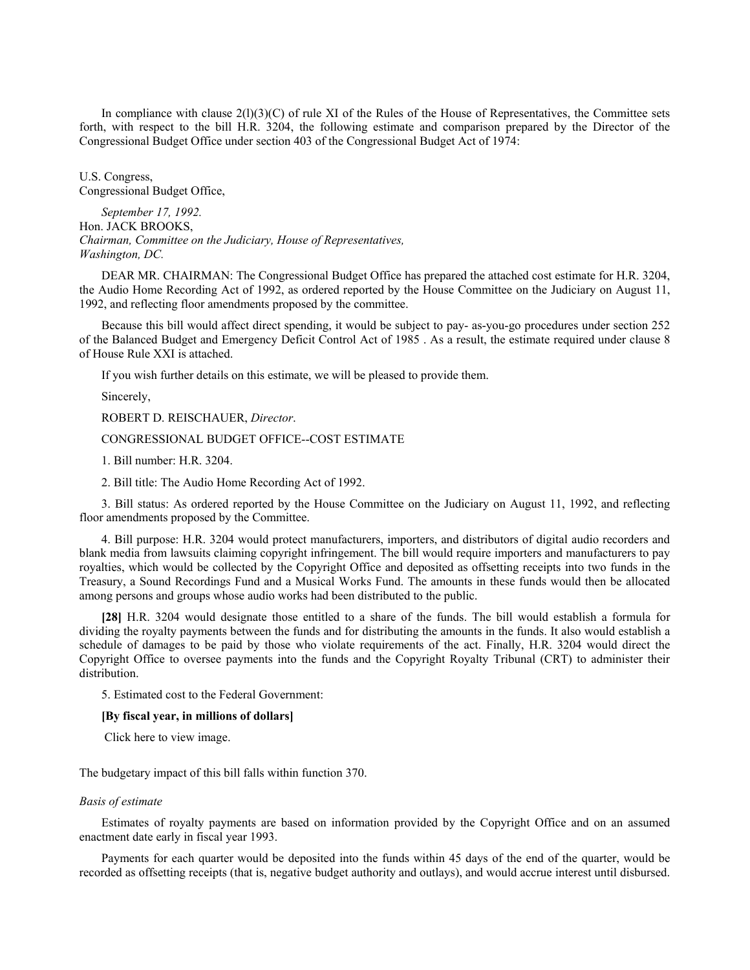In compliance with clause  $2(1)(3)(C)$  of rule XI of the Rules of the House of Representatives, the Committee sets forth, with respect to the bill H.R. 3204, the following estimate and comparison prepared by the Director of the Congressional Budget Office under section 403 of the Congressional Budget Act of 1974:

U.S. Congress, Congressional Budget Office,

*September 17, 1992.* Hon. JACK BROOKS, *Chairman, Committee on the Judiciary, House of Representatives, Washington, DC.*

DEAR MR. CHAIRMAN: The Congressional Budget Office has prepared the attached cost estimate for H.R. 3204, the Audio Home Recording Act of 1992, as ordered reported by the House Committee on the Judiciary on August 11, 1992, and reflecting floor amendments proposed by the committee.

Because this bill would affect direct spending, it would be subject to pay- as-you-go procedures under section 252 of the Balanced Budget and Emergency Deficit Control Act of 1985 . As a result, the estimate required under clause 8 of House Rule XXI is attached.

If you wish further details on this estimate, we will be pleased to provide them.

Sincerely,

ROBERT D. REISCHAUER, *Director*.

### CONGRESSIONAL BUDGET OFFICE--COST ESTIMATE

1. Bill number: H.R. 3204.

2. Bill title: The Audio Home Recording Act of 1992.

3. Bill status: As ordered reported by the House Committee on the Judiciary on August 11, 1992, and reflecting floor amendments proposed by the Committee.

4. Bill purpose: H.R. 3204 would protect manufacturers, importers, and distributors of digital audio recorders and blank media from lawsuits claiming copyright infringement. The bill would require importers and manufacturers to pay royalties, which would be collected by the Copyright Office and deposited as offsetting receipts into two funds in the Treasury, a Sound Recordings Fund and a Musical Works Fund. The amounts in these funds would then be allocated among persons and groups whose audio works had been distributed to the public.

**[28]** H.R. 3204 would designate those entitled to a share of the funds. The bill would establish a formula for dividing the royalty payments between the funds and for distributing the amounts in the funds. It also would establish a schedule of damages to be paid by those who violate requirements of the act. Finally, H.R. 3204 would direct the Copyright Office to oversee payments into the funds and the Copyright Royalty Tribunal (CRT) to administer their distribution.

5. Estimated cost to the Federal Government:

#### **[By fiscal year, in millions of dollars]**

Click here to view image.

The budgetary impact of this bill falls within function 370.

#### *Basis of estimate*

Estimates of royalty payments are based on information provided by the Copyright Office and on an assumed enactment date early in fiscal year 1993.

Payments for each quarter would be deposited into the funds within 45 days of the end of the quarter, would be recorded as offsetting receipts (that is, negative budget authority and outlays), and would accrue interest until disbursed.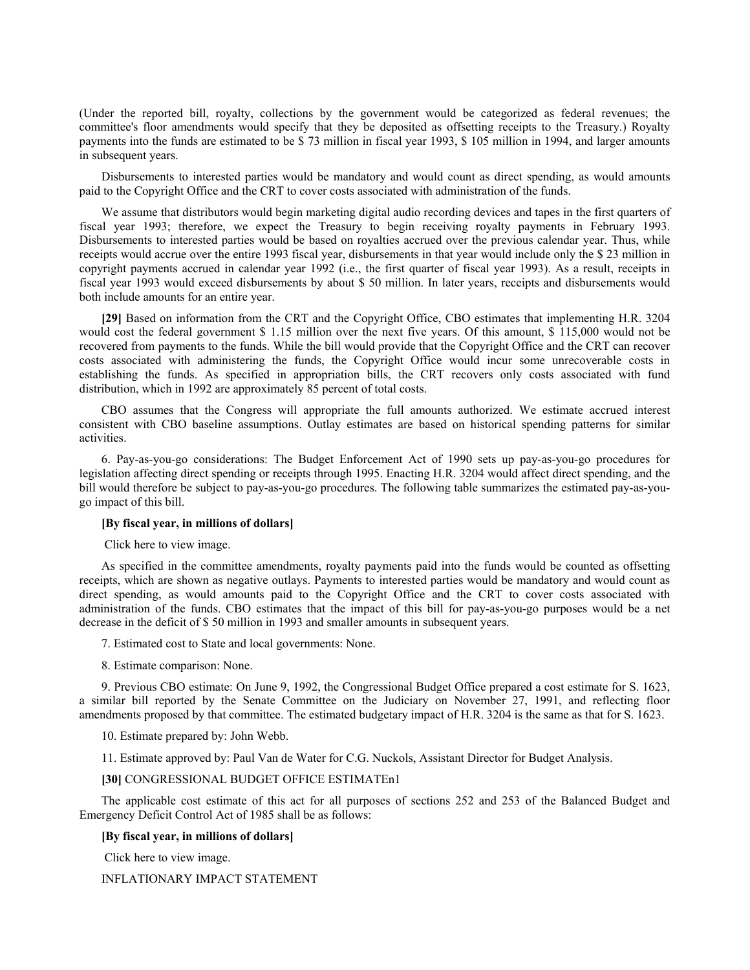(Under the reported bill, royalty, collections by the government would be categorized as federal revenues; the committee's floor amendments would specify that they be deposited as offsetting receipts to the Treasury.) Royalty payments into the funds are estimated to be \$ 73 million in fiscal year 1993, \$ 105 million in 1994, and larger amounts in subsequent years.

Disbursements to interested parties would be mandatory and would count as direct spending, as would amounts paid to the Copyright Office and the CRT to cover costs associated with administration of the funds.

We assume that distributors would begin marketing digital audio recording devices and tapes in the first quarters of fiscal year 1993; therefore, we expect the Treasury to begin receiving royalty payments in February 1993. Disbursements to interested parties would be based on royalties accrued over the previous calendar year. Thus, while receipts would accrue over the entire 1993 fiscal year, disbursements in that year would include only the \$ 23 million in copyright payments accrued in calendar year 1992 (i.e., the first quarter of fiscal year 1993). As a result, receipts in fiscal year 1993 would exceed disbursements by about \$ 50 million. In later years, receipts and disbursements would both include amounts for an entire year.

**[29]** Based on information from the CRT and the Copyright Office, CBO estimates that implementing H.R. 3204 would cost the federal government \$ 1.15 million over the next five years. Of this amount, \$ 115,000 would not be recovered from payments to the funds. While the bill would provide that the Copyright Office and the CRT can recover costs associated with administering the funds, the Copyright Office would incur some unrecoverable costs in establishing the funds. As specified in appropriation bills, the CRT recovers only costs associated with fund distribution, which in 1992 are approximately 85 percent of total costs.

CBO assumes that the Congress will appropriate the full amounts authorized. We estimate accrued interest consistent with CBO baseline assumptions. Outlay estimates are based on historical spending patterns for similar activities.

6. Pay-as-you-go considerations: The Budget Enforcement Act of 1990 sets up pay-as-you-go procedures for legislation affecting direct spending or receipts through 1995. Enacting H.R. 3204 would affect direct spending, and the bill would therefore be subject to pay-as-you-go procedures. The following table summarizes the estimated pay-as-yougo impact of this bill.

#### **[By fiscal year, in millions of dollars]**

Click here to view image.

As specified in the committee amendments, royalty payments paid into the funds would be counted as offsetting receipts, which are shown as negative outlays. Payments to interested parties would be mandatory and would count as direct spending, as would amounts paid to the Copyright Office and the CRT to cover costs associated with administration of the funds. CBO estimates that the impact of this bill for pay-as-you-go purposes would be a net decrease in the deficit of \$ 50 million in 1993 and smaller amounts in subsequent years.

7. Estimated cost to State and local governments: None.

8. Estimate comparison: None.

9. Previous CBO estimate: On June 9, 1992, the Congressional Budget Office prepared a cost estimate for S. 1623, a similar bill reported by the Senate Committee on the Judiciary on November 27, 1991, and reflecting floor amendments proposed by that committee. The estimated budgetary impact of H.R. 3204 is the same as that for S. 1623.

10. Estimate prepared by: John Webb.

11. Estimate approved by: Paul Van de Water for C.G. Nuckols, Assistant Director for Budget Analysis.

#### **[30]** CONGRESSIONAL BUDGET OFFICE ESTIMATEn1

The applicable cost estimate of this act for all purposes of sections 252 and 253 of the Balanced Budget and Emergency Deficit Control Act of 1985 shall be as follows:

#### **[By fiscal year, in millions of dollars]**

Click here to view image.

### INFLATIONARY IMPACT STATEMENT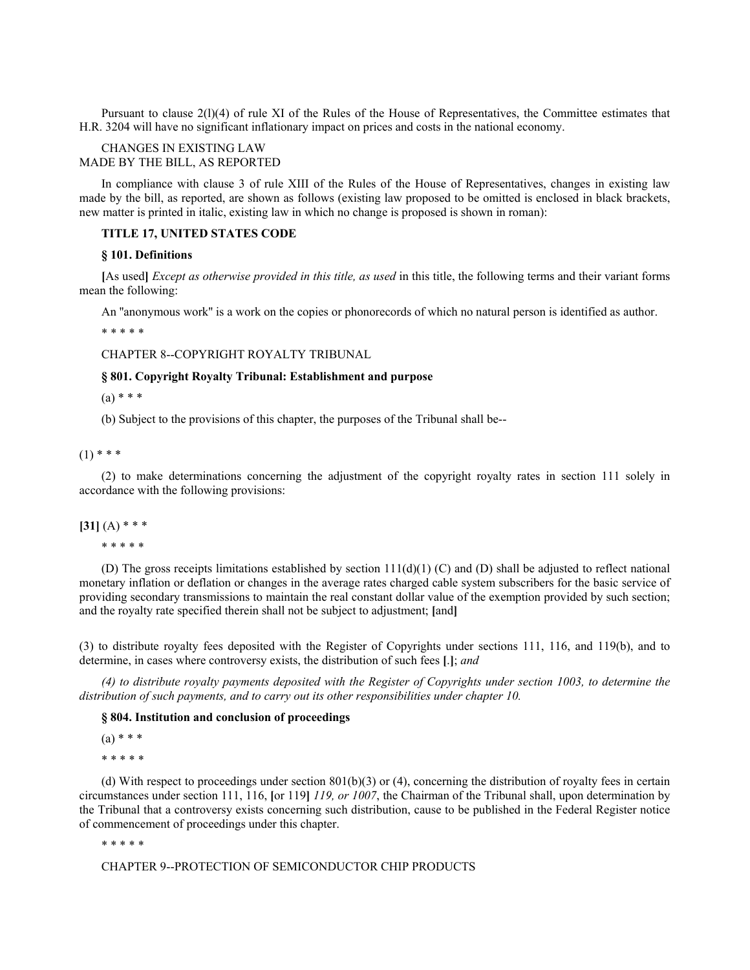Pursuant to clause 2(l)(4) of rule XI of the Rules of the House of Representatives, the Committee estimates that H.R. 3204 will have no significant inflationary impact on prices and costs in the national economy.

### CHANGES IN EXISTING LAW MADE BY THE BILL, AS REPORTED

In compliance with clause 3 of rule XIII of the Rules of the House of Representatives, changes in existing law made by the bill, as reported, are shown as follows (existing law proposed to be omitted is enclosed in black brackets, new matter is printed in italic, existing law in which no change is proposed is shown in roman):

### **TITLE 17, UNITED STATES CODE**

#### **§ 101. Definitions**

**[**As used**]** *Except as otherwise provided in this title, as used* in this title, the following terms and their variant forms mean the following:

An ''anonymous work'' is a work on the copies or phonorecords of which no natural person is identified as author.

\* \* \* \* \*

CHAPTER 8--COPYRIGHT ROYALTY TRIBUNAL

### **§ 801. Copyright Royalty Tribunal: Establishment and purpose**

 $(a) * * *$ 

(b) Subject to the provisions of this chapter, the purposes of the Tribunal shall be--

 $(1)$  \* \* \*

(2) to make determinations concerning the adjustment of the copyright royalty rates in section 111 solely in accordance with the following provisions:

### $[31] (A) * * *$

\* \* \* \* \*

(D) The gross receipts limitations established by section  $111(d)(1)$  (C) and (D) shall be adjusted to reflect national monetary inflation or deflation or changes in the average rates charged cable system subscribers for the basic service of providing secondary transmissions to maintain the real constant dollar value of the exemption provided by such section; and the royalty rate specified therein shall not be subject to adjustment; **[**and**]**

(3) to distribute royalty fees deposited with the Register of Copyrights under sections 111, 116, and 119(b), and to determine, in cases where controversy exists, the distribution of such fees **[**.**]**; *and*

*(4) to distribute royalty payments deposited with the Register of Copyrights under section 1003, to determine the distribution of such payments, and to carry out its other responsibilities under chapter 10.*

## **§ 804. Institution and conclusion of proceedings**

 $(a) * * *$ 

\* \* \* \* \*

(d) With respect to proceedings under section  $801(b)(3)$  or (4), concerning the distribution of royalty fees in certain circumstances under section 111, 116, **[**or 119**]** *119, or 1007*, the Chairman of the Tribunal shall, upon determination by the Tribunal that a controversy exists concerning such distribution, cause to be published in the Federal Register notice of commencement of proceedings under this chapter.

\* \* \* \* \*

CHAPTER 9--PROTECTION OF SEMICONDUCTOR CHIP PRODUCTS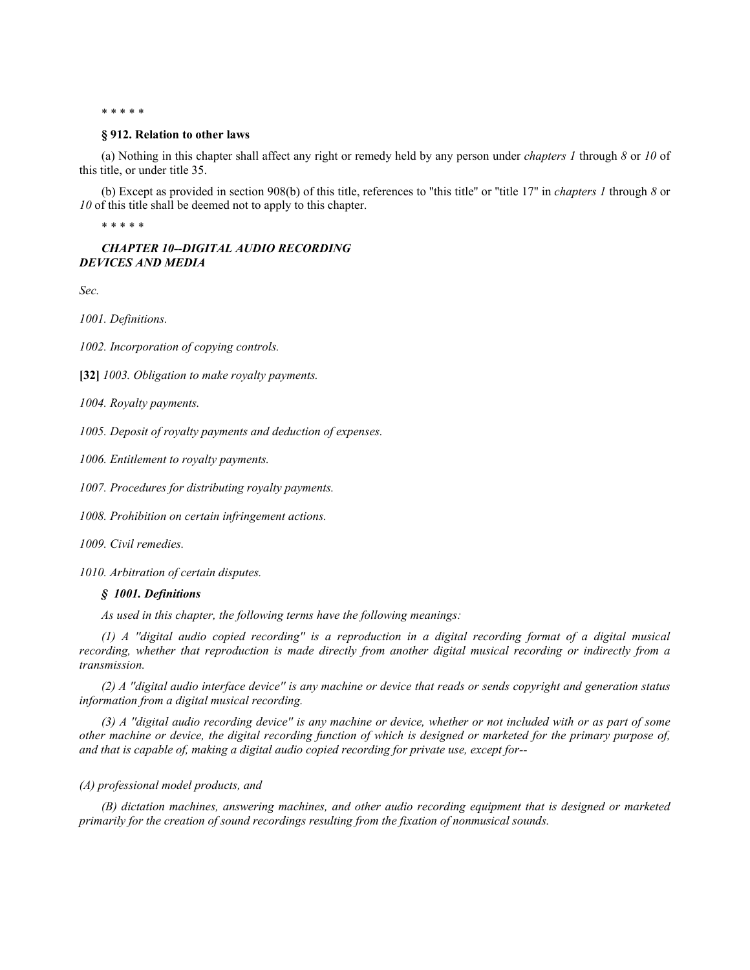\* \* \* \* \*

#### **§ 912. Relation to other laws**

(a) Nothing in this chapter shall affect any right or remedy held by any person under *chapters 1* through *8* or *10* of this title, or under title 35.

(b) Except as provided in section 908(b) of this title, references to ''this title'' or ''title 17'' in *chapters 1* through *8* or *10* of this title shall be deemed not to apply to this chapter.

\* \* \* \* \*

### *CHAPTER 10--DIGITAL AUDIO RECORDING DEVICES AND MEDIA*

*Sec.*

*1001. Definitions.*

*1002. Incorporation of copying controls.*

**[32]** *1003. Obligation to make royalty payments.*

*1004. Royalty payments.*

*1005. Deposit of royalty payments and deduction of expenses.*

*1006. Entitlement to royalty payments.*

*1007. Procedures for distributing royalty payments.*

*1008. Prohibition on certain infringement actions.*

*1009. Civil remedies.*

*1010. Arbitration of certain disputes.*

### *§ 1001. Definitions*

*As used in this chapter, the following terms have the following meanings:*

*(1) A ''digital audio copied recording'' is a reproduction in a digital recording format of a digital musical recording, whether that reproduction is made directly from another digital musical recording or indirectly from a transmission.*

*(2) A ''digital audio interface device'' is any machine or device that reads or sends copyright and generation status information from a digital musical recording.*

*(3) A ''digital audio recording device'' is any machine or device, whether or not included with or as part of some other machine or device, the digital recording function of which is designed or marketed for the primary purpose of, and that is capable of, making a digital audio copied recording for private use, except for--*

#### *(A) professional model products, and*

*(B) dictation machines, answering machines, and other audio recording equipment that is designed or marketed primarily for the creation of sound recordings resulting from the fixation of nonmusical sounds.*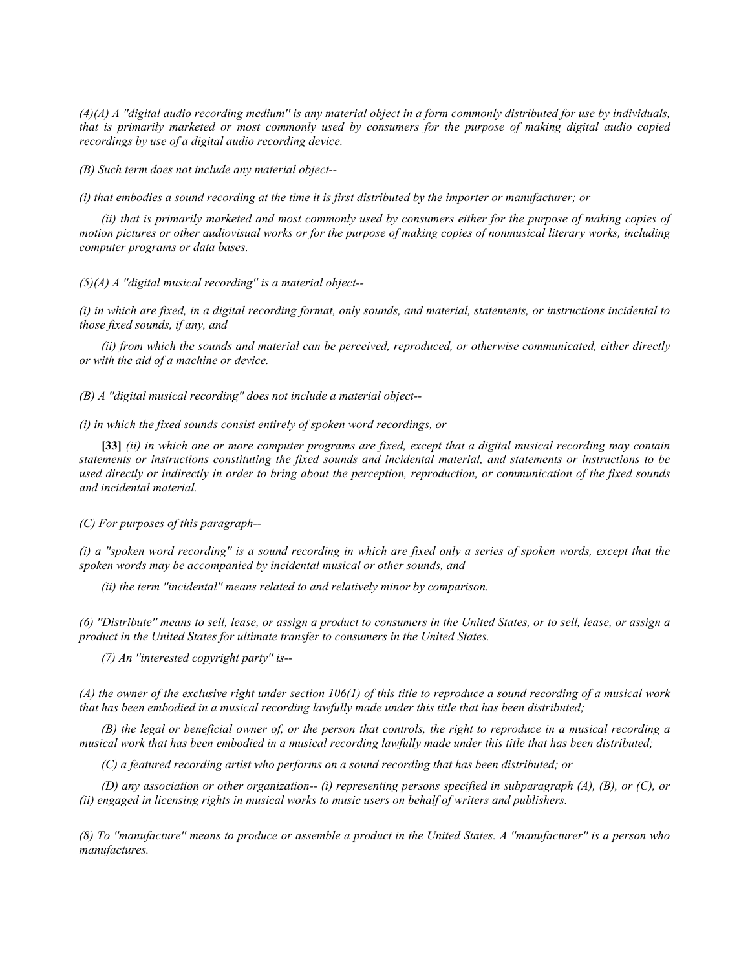*(4)(A) A ''digital audio recording medium'' is any material object in a form commonly distributed for use by individuals, that is primarily marketed or most commonly used by consumers for the purpose of making digital audio copied recordings by use of a digital audio recording device.*

*(B) Such term does not include any material object--*

*(i) that embodies a sound recording at the time it is first distributed by the importer or manufacturer; or*

*(ii) that is primarily marketed and most commonly used by consumers either for the purpose of making copies of motion pictures or other audiovisual works or for the purpose of making copies of nonmusical literary works, including computer programs or data bases.*

*(5)(A) A ''digital musical recording'' is a material object--*

*(i) in which are fixed, in a digital recording format, only sounds, and material, statements, or instructions incidental to those fixed sounds, if any, and*

*(ii) from which the sounds and material can be perceived, reproduced, or otherwise communicated, either directly or with the aid of a machine or device.*

*(B) A ''digital musical recording'' does not include a material object--*

*(i) in which the fixed sounds consist entirely of spoken word recordings, or*

**[33]** *(ii) in which one or more computer programs are fixed, except that a digital musical recording may contain statements or instructions constituting the fixed sounds and incidental material, and statements or instructions to be used directly or indirectly in order to bring about the perception, reproduction, or communication of the fixed sounds and incidental material.*

*(C) For purposes of this paragraph--*

*(i) a ''spoken word recording'' is a sound recording in which are fixed only a series of spoken words, except that the spoken words may be accompanied by incidental musical or other sounds, and*

*(ii) the term ''incidental'' means related to and relatively minor by comparison.*

*(6) ''Distribute'' means to sell, lease, or assign a product to consumers in the United States, or to sell, lease, or assign a product in the United States for ultimate transfer to consumers in the United States.*

*(7) An ''interested copyright party'' is--*

*(A) the owner of the exclusive right under section 106(1) of this title to reproduce a sound recording of a musical work that has been embodied in a musical recording lawfully made under this title that has been distributed;*

*(B) the legal or beneficial owner of, or the person that controls, the right to reproduce in a musical recording a musical work that has been embodied in a musical recording lawfully made under this title that has been distributed;*

*(C) a featured recording artist who performs on a sound recording that has been distributed; or*

*(D) any association or other organization-- (i) representing persons specified in subparagraph (A), (B), or (C), or (ii) engaged in licensing rights in musical works to music users on behalf of writers and publishers.*

*(8) To ''manufacture'' means to produce or assemble a product in the United States. A ''manufacturer'' is a person who manufactures.*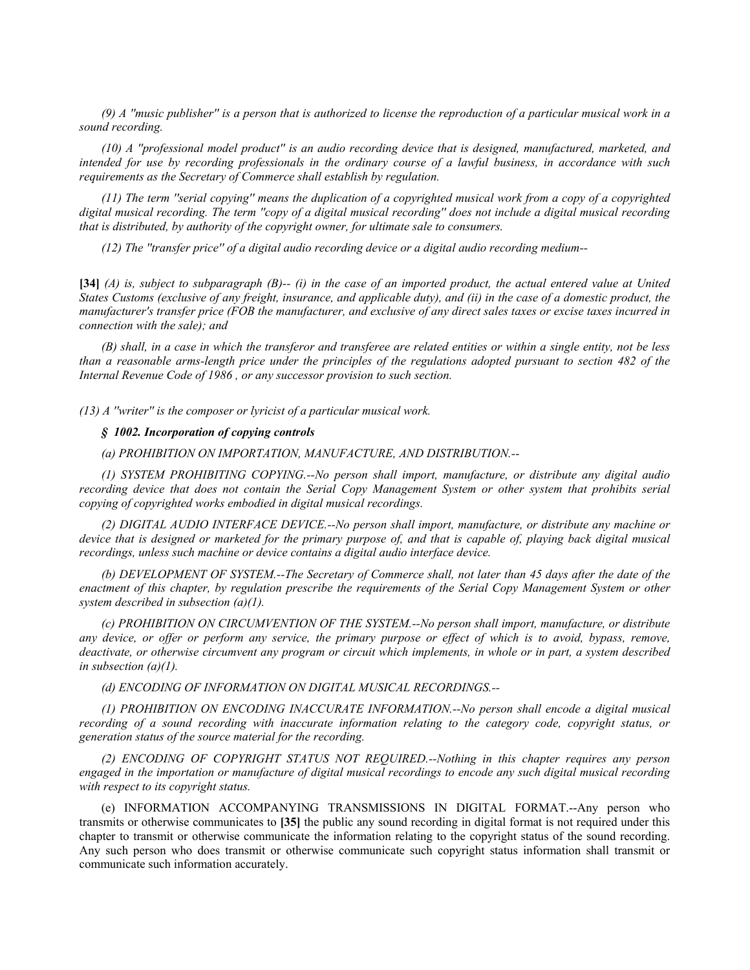*(9) A ''music publisher'' is a person that is authorized to license the reproduction of a particular musical work in a sound recording.*

*(10) A ''professional model product'' is an audio recording device that is designed, manufactured, marketed, and intended for use by recording professionals in the ordinary course of a lawful business, in accordance with such requirements as the Secretary of Commerce shall establish by regulation.*

*(11) The term ''serial copying'' means the duplication of a copyrighted musical work from a copy of a copyrighted digital musical recording. The term ''copy of a digital musical recording'' does not include a digital musical recording that is distributed, by authority of the copyright owner, for ultimate sale to consumers.*

*(12) The ''transfer price'' of a digital audio recording device or a digital audio recording medium--*

**[34]** *(A) is, subject to subparagraph (B)-- (i) in the case of an imported product, the actual entered value at United States Customs (exclusive of any freight, insurance, and applicable duty), and (ii) in the case of a domestic product, the manufacturer's transfer price (FOB the manufacturer, and exclusive of any direct sales taxes or excise taxes incurred in connection with the sale); and*

*(B) shall, in a case in which the transferor and transferee are related entities or within a single entity, not be less than a reasonable arms-length price under the principles of the regulations adopted pursuant to section 482 of the Internal Revenue Code of 1986 , or any successor provision to such section.*

*(13) A ''writer'' is the composer or lyricist of a particular musical work.*

#### *§ 1002. Incorporation of copying controls*

*(a) PROHIBITION ON IMPORTATION, MANUFACTURE, AND DISTRIBUTION.--*

*(1) SYSTEM PROHIBITING COPYING.--No person shall import, manufacture, or distribute any digital audio recording device that does not contain the Serial Copy Management System or other system that prohibits serial copying of copyrighted works embodied in digital musical recordings.*

*(2) DIGITAL AUDIO INTERFACE DEVICE.--No person shall import, manufacture, or distribute any machine or device that is designed or marketed for the primary purpose of, and that is capable of, playing back digital musical recordings, unless such machine or device contains a digital audio interface device.*

*(b) DEVELOPMENT OF SYSTEM.--The Secretary of Commerce shall, not later than 45 days after the date of the enactment of this chapter, by regulation prescribe the requirements of the Serial Copy Management System or other system described in subsection (a)(1).*

*(c) PROHIBITION ON CIRCUMVENTION OF THE SYSTEM.--No person shall import, manufacture, or distribute any device, or offer or perform any service, the primary purpose or effect of which is to avoid, bypass, remove, deactivate, or otherwise circumvent any program or circuit which implements, in whole or in part, a system described in subsection (a)(1).*

*(d) ENCODING OF INFORMATION ON DIGITAL MUSICAL RECORDINGS.--*

*(1) PROHIBITION ON ENCODING INACCURATE INFORMATION.--No person shall encode a digital musical recording of a sound recording with inaccurate information relating to the category code, copyright status, or generation status of the source material for the recording.*

*(2) ENCODING OF COPYRIGHT STATUS NOT REQUIRED.--Nothing in this chapter requires any person engaged in the importation or manufacture of digital musical recordings to encode any such digital musical recording with respect to its copyright status.*

(e) INFORMATION ACCOMPANYING TRANSMISSIONS IN DIGITAL FORMAT.--Any person who transmits or otherwise communicates to **[35]** the public any sound recording in digital format is not required under this chapter to transmit or otherwise communicate the information relating to the copyright status of the sound recording. Any such person who does transmit or otherwise communicate such copyright status information shall transmit or communicate such information accurately.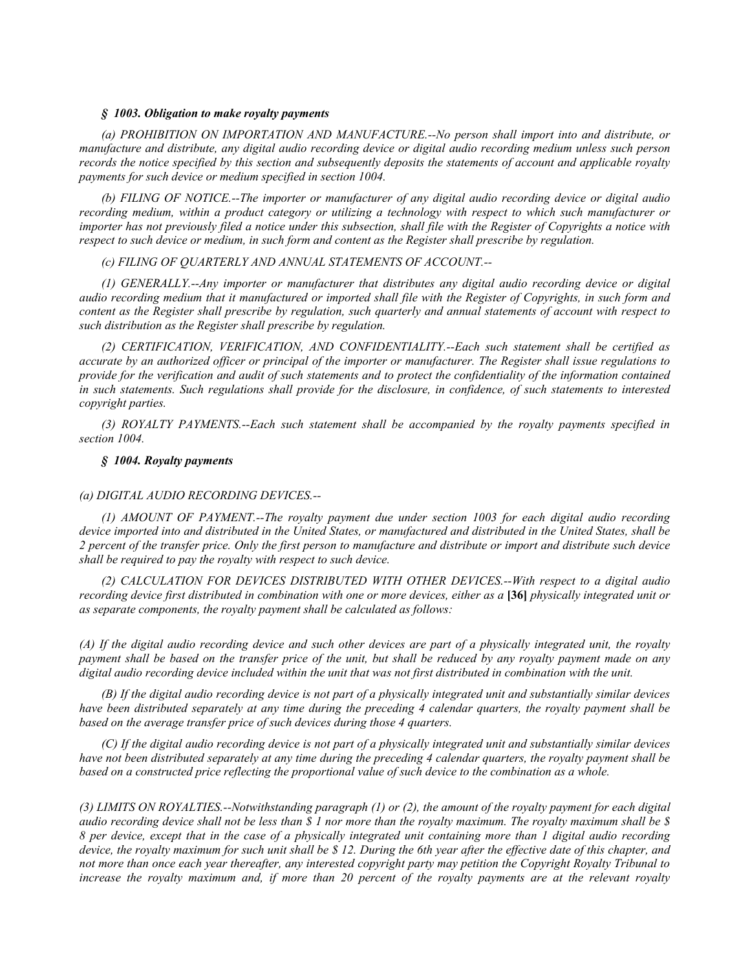### *§ 1003. Obligation to make royalty payments*

*(a) PROHIBITION ON IMPORTATION AND MANUFACTURE.--No person shall import into and distribute, or manufacture and distribute, any digital audio recording device or digital audio recording medium unless such person records the notice specified by this section and subsequently deposits the statements of account and applicable royalty payments for such device or medium specified in section 1004.*

*(b) FILING OF NOTICE.--The importer or manufacturer of any digital audio recording device or digital audio recording medium, within a product category or utilizing a technology with respect to which such manufacturer or importer has not previously filed a notice under this subsection, shall file with the Register of Copyrights a notice with respect to such device or medium, in such form and content as the Register shall prescribe by regulation.*

*(c) FILING OF QUARTERLY AND ANNUAL STATEMENTS OF ACCOUNT.--*

*(1) GENERALLY.--Any importer or manufacturer that distributes any digital audio recording device or digital audio recording medium that it manufactured or imported shall file with the Register of Copyrights, in such form and content as the Register shall prescribe by regulation, such quarterly and annual statements of account with respect to such distribution as the Register shall prescribe by regulation.*

*(2) CERTIFICATION, VERIFICATION, AND CONFIDENTIALITY.--Each such statement shall be certified as accurate by an authorized officer or principal of the importer or manufacturer. The Register shall issue regulations to provide for the verification and audit of such statements and to protect the confidentiality of the information contained in such statements. Such regulations shall provide for the disclosure, in confidence, of such statements to interested copyright parties.*

*(3) ROYALTY PAYMENTS.--Each such statement shall be accompanied by the royalty payments specified in section 1004.*

#### *§ 1004. Royalty payments*

#### *(a) DIGITAL AUDIO RECORDING DEVICES.--*

*(1) AMOUNT OF PAYMENT.--The royalty payment due under section 1003 for each digital audio recording device imported into and distributed in the United States, or manufactured and distributed in the United States, shall be 2 percent of the transfer price. Only the first person to manufacture and distribute or import and distribute such device shall be required to pay the royalty with respect to such device.*

*(2) CALCULATION FOR DEVICES DISTRIBUTED WITH OTHER DEVICES.--With respect to a digital audio recording device first distributed in combination with one or more devices, either as a* **[36]** *physically integrated unit or as separate components, the royalty payment shall be calculated as follows:*

*(A) If the digital audio recording device and such other devices are part of a physically integrated unit, the royalty payment shall be based on the transfer price of the unit, but shall be reduced by any royalty payment made on any digital audio recording device included within the unit that was not first distributed in combination with the unit.*

*(B) If the digital audio recording device is not part of a physically integrated unit and substantially similar devices have been distributed separately at any time during the preceding 4 calendar quarters, the royalty payment shall be based on the average transfer price of such devices during those 4 quarters.*

*(C) If the digital audio recording device is not part of a physically integrated unit and substantially similar devices have not been distributed separately at any time during the preceding 4 calendar quarters, the royalty payment shall be based on a constructed price reflecting the proportional value of such device to the combination as a whole.*

*(3) LIMITS ON ROYALTIES.--Notwithstanding paragraph (1) or (2), the amount of the royalty payment for each digital audio recording device shall not be less than \$ 1 nor more than the royalty maximum. The royalty maximum shall be \$ 8 per device, except that in the case of a physically integrated unit containing more than 1 digital audio recording device, the royalty maximum for such unit shall be \$ 12. During the 6th year after the effective date of this chapter, and not more than once each year thereafter, any interested copyright party may petition the Copyright Royalty Tribunal to*  increase the royalty maximum and, if more than 20 percent of the royalty payments are at the relevant royalty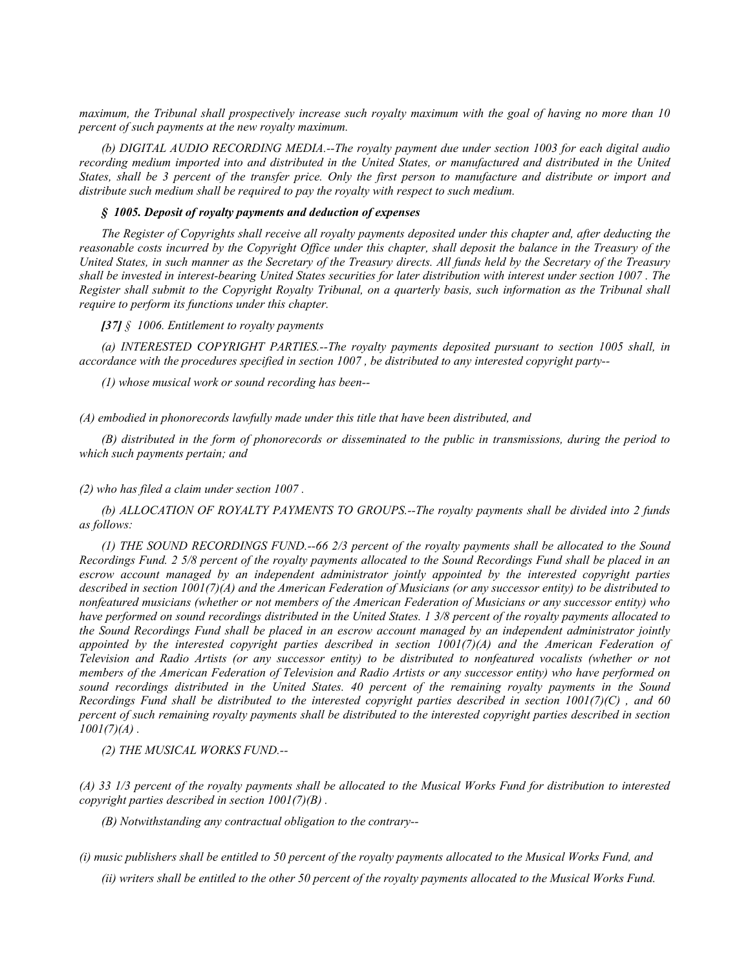*maximum, the Tribunal shall prospectively increase such royalty maximum with the goal of having no more than 10 percent of such payments at the new royalty maximum.*

*(b) DIGITAL AUDIO RECORDING MEDIA.--The royalty payment due under section 1003 for each digital audio recording medium imported into and distributed in the United States, or manufactured and distributed in the United States, shall be 3 percent of the transfer price. Only the first person to manufacture and distribute or import and distribute such medium shall be required to pay the royalty with respect to such medium.*

#### *§ 1005. Deposit of royalty payments and deduction of expenses*

*The Register of Copyrights shall receive all royalty payments deposited under this chapter and, after deducting the reasonable costs incurred by the Copyright Office under this chapter, shall deposit the balance in the Treasury of the United States, in such manner as the Secretary of the Treasury directs. All funds held by the Secretary of the Treasury shall be invested in interest-bearing United States securities for later distribution with interest under section 1007 . The Register shall submit to the Copyright Royalty Tribunal, on a quarterly basis, such information as the Tribunal shall require to perform its functions under this chapter.*

#### *[37] § 1006. Entitlement to royalty payments*

*(a) INTERESTED COPYRIGHT PARTIES.--The royalty payments deposited pursuant to section 1005 shall, in accordance with the procedures specified in section 1007 , be distributed to any interested copyright party--*

*(1) whose musical work or sound recording has been--*

*(A) embodied in phonorecords lawfully made under this title that have been distributed, and*

*(B) distributed in the form of phonorecords or disseminated to the public in transmissions, during the period to which such payments pertain; and*

#### *(2) who has filed a claim under section 1007 .*

*(b) ALLOCATION OF ROYALTY PAYMENTS TO GROUPS.--The royalty payments shall be divided into 2 funds as follows:*

*(1) THE SOUND RECORDINGS FUND.--66 2/3 percent of the royalty payments shall be allocated to the Sound Recordings Fund. 2 5/8 percent of the royalty payments allocated to the Sound Recordings Fund shall be placed in an escrow account managed by an independent administrator jointly appointed by the interested copyright parties described in section 1001(7)(A) and the American Federation of Musicians (or any successor entity) to be distributed to nonfeatured musicians (whether or not members of the American Federation of Musicians or any successor entity) who have performed on sound recordings distributed in the United States. 1 3/8 percent of the royalty payments allocated to the Sound Recordings Fund shall be placed in an escrow account managed by an independent administrator jointly appointed by the interested copyright parties described in section 1001(7)(A) and the American Federation of Television and Radio Artists (or any successor entity) to be distributed to nonfeatured vocalists (whether or not members of the American Federation of Television and Radio Artists or any successor entity) who have performed on sound recordings distributed in the United States. 40 percent of the remaining royalty payments in the Sound Recordings Fund shall be distributed to the interested copyright parties described in section 1001(7)(C) , and 60 percent of such remaining royalty payments shall be distributed to the interested copyright parties described in section 1001(7)(A) .*

*(2) THE MUSICAL WORKS FUND.--*

*(A) 33 1/3 percent of the royalty payments shall be allocated to the Musical Works Fund for distribution to interested copyright parties described in section 1001(7)(B) .*

*(B) Notwithstanding any contractual obligation to the contrary--*

*(i) music publishers shall be entitled to 50 percent of the royalty payments allocated to the Musical Works Fund, and*

*(ii) writers shall be entitled to the other 50 percent of the royalty payments allocated to the Musical Works Fund.*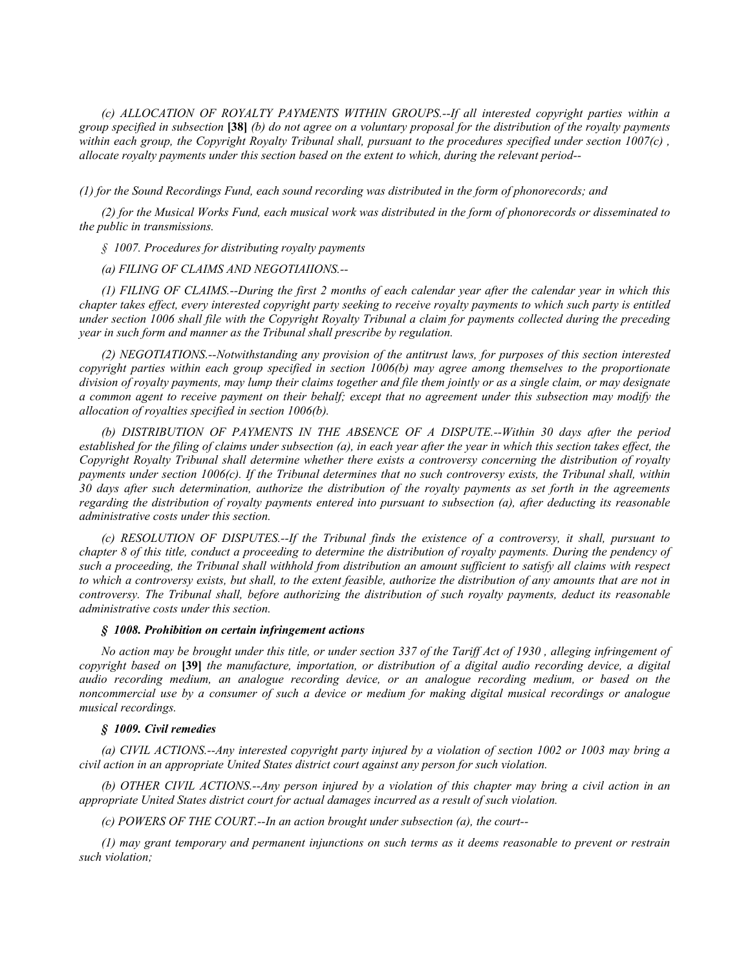*(c) ALLOCATION OF ROYALTY PAYMENTS WITHIN GROUPS.--If all interested copyright parties within a group specified in subsection* **[38]** *(b) do not agree on a voluntary proposal for the distribution of the royalty payments*  within each group, the Copyright Royalty Tribunal shall, pursuant to the procedures specified under section 1007(c), *allocate royalty payments under this section based on the extent to which, during the relevant period--*

*(1) for the Sound Recordings Fund, each sound recording was distributed in the form of phonorecords; and*

*(2) for the Musical Works Fund, each musical work was distributed in the form of phonorecords or disseminated to the public in transmissions.*

*§ 1007. Procedures for distributing royalty payments*

*(a) FILING OF CLAIMS AND NEGOTIAIIONS.--*

*(1) FILING OF CLAIMS.--During the first 2 months of each calendar year after the calendar year in which this chapter takes effect, every interested copyright party seeking to receive royalty payments to which such party is entitled under section 1006 shall file with the Copyright Royalty Tribunal a claim for payments collected during the preceding year in such form and manner as the Tribunal shall prescribe by regulation.*

*(2) NEGOTIATIONS.--Notwithstanding any provision of the antitrust laws, for purposes of this section interested copyright parties within each group specified in section 1006(b) may agree among themselves to the proportionate division of royalty payments, may lump their claims together and file them jointly or as a single claim, or may designate a common agent to receive payment on their behalf; except that no agreement under this subsection may modify the allocation of royalties specified in section 1006(b).*

*(b) DISTRIBUTION OF PAYMENTS IN THE ABSENCE OF A DISPUTE.--Within 30 days after the period established for the filing of claims under subsection (a), in each year after the year in which this section takes effect, the Copyright Royalty Tribunal shall determine whether there exists a controversy concerning the distribution of royalty payments under section 1006(c). If the Tribunal determines that no such controversy exists, the Tribunal shall, within 30 days after such determination, authorize the distribution of the royalty payments as set forth in the agreements regarding the distribution of royalty payments entered into pursuant to subsection (a), after deducting its reasonable administrative costs under this section.*

*(c) RESOLUTION OF DISPUTES.--If the Tribunal finds the existence of a controversy, it shall, pursuant to chapter 8 of this title, conduct a proceeding to determine the distribution of royalty payments. During the pendency of such a proceeding, the Tribunal shall withhold from distribution an amount sufficient to satisfy all claims with respect to which a controversy exists, but shall, to the extent feasible, authorize the distribution of any amounts that are not in controversy. The Tribunal shall, before authorizing the distribution of such royalty payments, deduct its reasonable administrative costs under this section.*

### *§ 1008. Prohibition on certain infringement actions*

*No action may be brought under this title, or under section 337 of the Tariff Act of 1930 , alleging infringement of copyright based on* **[39]** *the manufacture, importation, or distribution of a digital audio recording device, a digital audio recording medium, an analogue recording device, or an analogue recording medium, or based on the noncommercial use by a consumer of such a device or medium for making digital musical recordings or analogue musical recordings.*

## *§ 1009. Civil remedies*

*(a) CIVIL ACTIONS.--Any interested copyright party injured by a violation of section 1002 or 1003 may bring a civil action in an appropriate United States district court against any person for such violation.*

*(b) OTHER CIVIL ACTIONS.--Any person injured by a violation of this chapter may bring a civil action in an appropriate United States district court for actual damages incurred as a result of such violation.*

*(c) POWERS OF THE COURT.--In an action brought under subsection (a), the court--*

*(1) may grant temporary and permanent injunctions on such terms as it deems reasonable to prevent or restrain such violation;*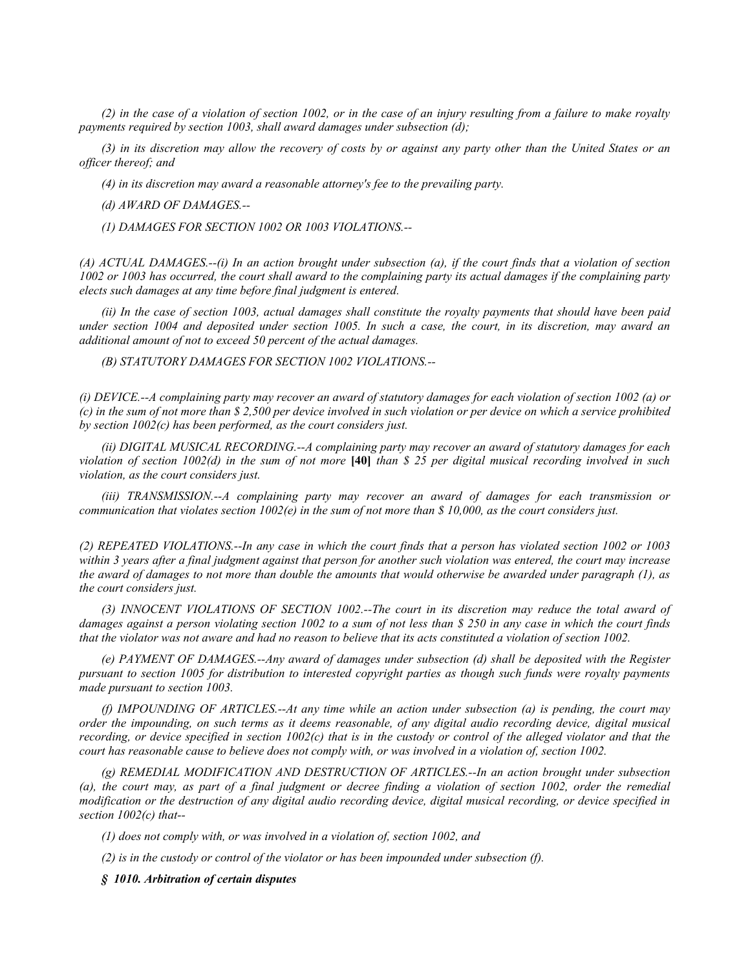*(2) in the case of a violation of section 1002, or in the case of an injury resulting from a failure to make royalty payments required by section 1003, shall award damages under subsection (d);*

*(3) in its discretion may allow the recovery of costs by or against any party other than the United States or an officer thereof; and*

*(4) in its discretion may award a reasonable attorney's fee to the prevailing party.*

*(d) AWARD OF DAMAGES.--*

*(1) DAMAGES FOR SECTION 1002 OR 1003 VIOLATIONS.--*

*(A) ACTUAL DAMAGES.--(i) In an action brought under subsection (a), if the court finds that a violation of section*  1002 or 1003 has occurred, the court shall award to the complaining party its actual damages if the complaining party *elects such damages at any time before final judgment is entered.*

*(ii) In the case of section 1003, actual damages shall constitute the royalty payments that should have been paid under section 1004 and deposited under section 1005. In such a case, the court, in its discretion, may award an additional amount of not to exceed 50 percent of the actual damages.*

*(B) STATUTORY DAMAGES FOR SECTION 1002 VIOLATIONS.--*

*(i) DEVICE.--A complaining party may recover an award of statutory damages for each violation of section 1002 (a) or (c) in the sum of not more than \$ 2,500 per device involved in such violation or per device on which a service prohibited by section 1002(c) has been performed, as the court considers just.*

*(ii) DIGITAL MUSICAL RECORDING.--A complaining party may recover an award of statutory damages for each violation of section 1002(d) in the sum of not more* **[40]** *than \$ 25 per digital musical recording involved in such violation, as the court considers just.*

*(iii) TRANSMISSION.--A complaining party may recover an award of damages for each transmission or communication that violates section 1002(e) in the sum of not more than \$ 10,000, as the court considers just.*

*(2) REPEATED VIOLATIONS.--In any case in which the court finds that a person has violated section 1002 or 1003 within 3 years after a final judgment against that person for another such violation was entered, the court may increase the award of damages to not more than double the amounts that would otherwise be awarded under paragraph (1), as the court considers just.*

*(3) INNOCENT VIOLATIONS OF SECTION 1002.--The court in its discretion may reduce the total award of damages against a person violating section 1002 to a sum of not less than \$ 250 in any case in which the court finds that the violator was not aware and had no reason to believe that its acts constituted a violation of section 1002.*

*(e) PAYMENT OF DAMAGES.--Any award of damages under subsection (d) shall be deposited with the Register pursuant to section 1005 for distribution to interested copyright parties as though such funds were royalty payments made pursuant to section 1003.*

*(f) IMPOUNDING OF ARTICLES.--At any time while an action under subsection (a) is pending, the court may order the impounding, on such terms as it deems reasonable, of any digital audio recording device, digital musical recording, or device specified in section 1002(c) that is in the custody or control of the alleged violator and that the court has reasonable cause to believe does not comply with, or was involved in a violation of, section 1002.*

*(g) REMEDIAL MODIFICATION AND DESTRUCTION OF ARTICLES.--In an action brought under subsection (a), the court may, as part of a final judgment or decree finding a violation of section 1002, order the remedial modification or the destruction of any digital audio recording device, digital musical recording, or device specified in section 1002(c) that--*

*(1) does not comply with, or was involved in a violation of, section 1002, and*

*(2) is in the custody or control of the violator or has been impounded under subsection (f).*

*§ 1010. Arbitration of certain disputes*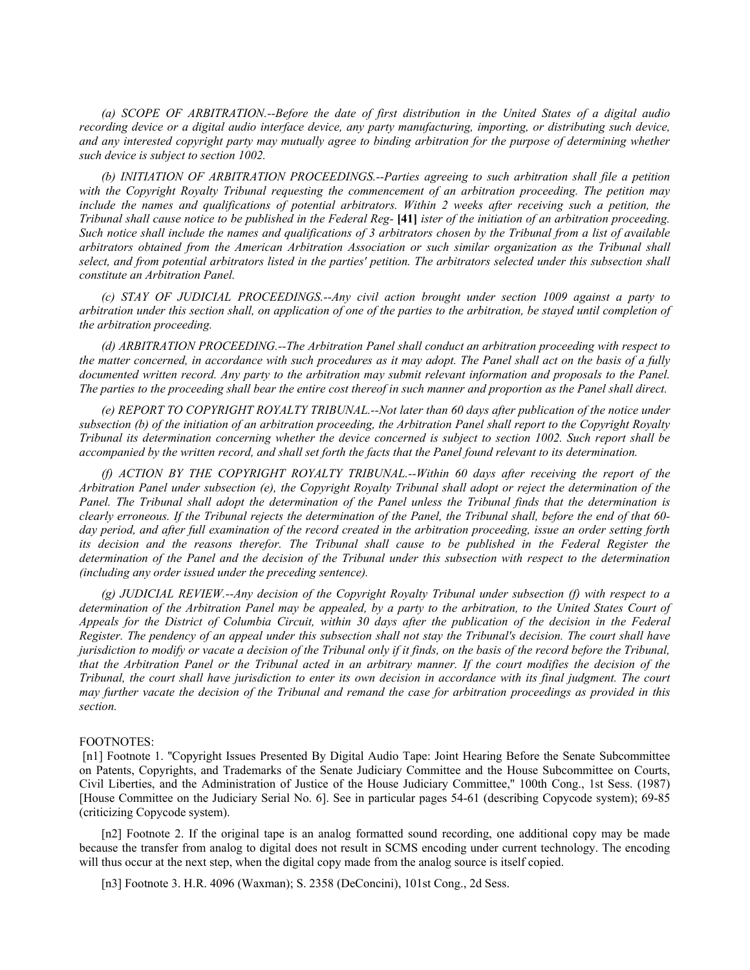*(a) SCOPE OF ARBITRATION.--Before the date of first distribution in the United States of a digital audio recording device or a digital audio interface device, any party manufacturing, importing, or distributing such device, and any interested copyright party may mutually agree to binding arbitration for the purpose of determining whether such device is subject to section 1002.*

*(b) INITIATION OF ARBITRATION PROCEEDINGS.--Parties agreeing to such arbitration shall file a petition with the Copyright Royalty Tribunal requesting the commencement of an arbitration proceeding. The petition may*  include the names and qualifications of potential arbitrators. Within 2 weeks after receiving such a petition, the *Tribunal shall cause notice to be published in the Federal Reg-* **[41]** *ister of the initiation of an arbitration proceeding. Such notice shall include the names and qualifications of 3 arbitrators chosen by the Tribunal from a list of available arbitrators obtained from the American Arbitration Association or such similar organization as the Tribunal shall select, and from potential arbitrators listed in the parties' petition. The arbitrators selected under this subsection shall constitute an Arbitration Panel.*

*(c) STAY OF JUDICIAL PROCEEDINGS.--Any civil action brought under section 1009 against a party to arbitration under this section shall, on application of one of the parties to the arbitration, be stayed until completion of the arbitration proceeding.*

*(d) ARBITRATION PROCEEDING.--The Arbitration Panel shall conduct an arbitration proceeding with respect to the matter concerned, in accordance with such procedures as it may adopt. The Panel shall act on the basis of a fully*  documented written record. Any party to the arbitration may submit relevant information and proposals to the Panel. *The parties to the proceeding shall bear the entire cost thereof in such manner and proportion as the Panel shall direct.*

*(e) REPORT TO COPYRIGHT ROYALTY TRIBUNAL.--Not later than 60 days after publication of the notice under subsection (b) of the initiation of an arbitration proceeding, the Arbitration Panel shall report to the Copyright Royalty Tribunal its determination concerning whether the device concerned is subject to section 1002. Such report shall be accompanied by the written record, and shall set forth the facts that the Panel found relevant to its determination.*

*(f) ACTION BY THE COPYRIGHT ROYALTY TRIBUNAL.--Within 60 days after receiving the report of the Arbitration Panel under subsection (e), the Copyright Royalty Tribunal shall adopt or reject the determination of the Panel. The Tribunal shall adopt the determination of the Panel unless the Tribunal finds that the determination is clearly erroneous. If the Tribunal rejects the determination of the Panel, the Tribunal shall, before the end of that 60 day period, and after full examination of the record created in the arbitration proceeding, issue an order setting forth its decision and the reasons therefor. The Tribunal shall cause to be published in the Federal Register the determination of the Panel and the decision of the Tribunal under this subsection with respect to the determination (including any order issued under the preceding sentence).*

*(g) JUDICIAL REVIEW.--Any decision of the Copyright Royalty Tribunal under subsection (f) with respect to a*  determination of the Arbitration Panel may be appealed, by a party to the arbitration, to the United States Court of *Appeals for the District of Columbia Circuit, within 30 days after the publication of the decision in the Federal Register. The pendency of an appeal under this subsection shall not stay the Tribunal's decision. The court shall have jurisdiction to modify or vacate a decision of the Tribunal only if it finds, on the basis of the record before the Tribunal, that the Arbitration Panel or the Tribunal acted in an arbitrary manner. If the court modifies the decision of the Tribunal, the court shall have jurisdiction to enter its own decision in accordance with its final judgment. The court may further vacate the decision of the Tribunal and remand the case for arbitration proceedings as provided in this section.*

## FOOTNOTES:

 [n1] Footnote 1. ''Copyright Issues Presented By Digital Audio Tape: Joint Hearing Before the Senate Subcommittee on Patents, Copyrights, and Trademarks of the Senate Judiciary Committee and the House Subcommittee on Courts, Civil Liberties, and the Administration of Justice of the House Judiciary Committee,'' 100th Cong., 1st Sess. (1987) [House Committee on the Judiciary Serial No. 6]. See in particular pages 54-61 (describing Copycode system); 69-85 (criticizing Copycode system).

[n2] Footnote 2. If the original tape is an analog formatted sound recording, one additional copy may be made because the transfer from analog to digital does not result in SCMS encoding under current technology. The encoding will thus occur at the next step, when the digital copy made from the analog source is itself copied.

[n3] Footnote 3. H.R. 4096 (Waxman); S. 2358 (DeConcini), 101st Cong., 2d Sess.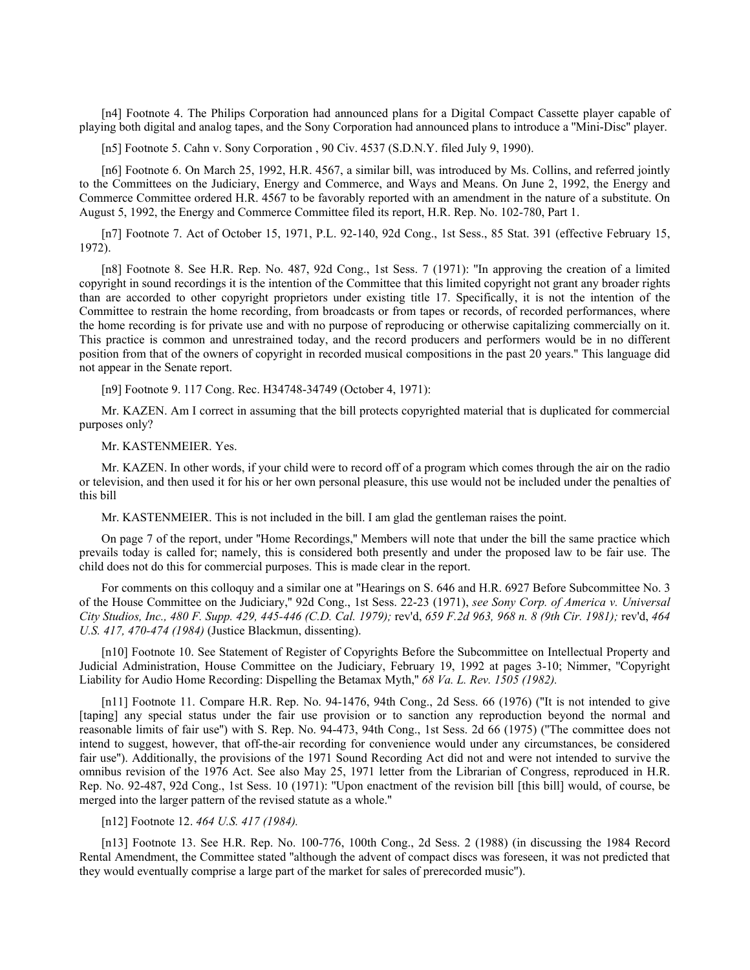[n4] Footnote 4. The Philips Corporation had announced plans for a Digital Compact Cassette player capable of playing both digital and analog tapes, and the Sony Corporation had announced plans to introduce a ''Mini-Disc'' player.

[n5] Footnote 5. Cahn v. Sony Corporation, 90 Civ. 4537 (S.D.N.Y. filed July 9, 1990).

[n6] Footnote 6. On March 25, 1992, H.R. 4567, a similar bill, was introduced by Ms. Collins, and referred jointly to the Committees on the Judiciary, Energy and Commerce, and Ways and Means. On June 2, 1992, the Energy and Commerce Committee ordered H.R. 4567 to be favorably reported with an amendment in the nature of a substitute. On August 5, 1992, the Energy and Commerce Committee filed its report, H.R. Rep. No. 102-780, Part 1.

[n7] Footnote 7. Act of October 15, 1971, P.L. 92-140, 92d Cong., 1st Sess., 85 Stat. 391 (effective February 15, 1972).

[n8] Footnote 8. See H.R. Rep. No. 487, 92d Cong., 1st Sess. 7 (1971): ''In approving the creation of a limited copyright in sound recordings it is the intention of the Committee that this limited copyright not grant any broader rights than are accorded to other copyright proprietors under existing title 17. Specifically, it is not the intention of the Committee to restrain the home recording, from broadcasts or from tapes or records, of recorded performances, where the home recording is for private use and with no purpose of reproducing or otherwise capitalizing commercially on it. This practice is common and unrestrained today, and the record producers and performers would be in no different position from that of the owners of copyright in recorded musical compositions in the past 20 years.'' This language did not appear in the Senate report.

[n9] Footnote 9. 117 Cong. Rec. H34748-34749 (October 4, 1971):

Mr. KAZEN. Am I correct in assuming that the bill protects copyrighted material that is duplicated for commercial purposes only?

Mr. KASTENMEIER. Yes.

Mr. KAZEN. In other words, if your child were to record off of a program which comes through the air on the radio or television, and then used it for his or her own personal pleasure, this use would not be included under the penalties of this bill

Mr. KASTENMEIER. This is not included in the bill. I am glad the gentleman raises the point.

On page 7 of the report, under ''Home Recordings,'' Members will note that under the bill the same practice which prevails today is called for; namely, this is considered both presently and under the proposed law to be fair use. The child does not do this for commercial purposes. This is made clear in the report.

For comments on this colloquy and a similar one at ''Hearings on S. 646 and H.R. 6927 Before Subcommittee No. 3 of the House Committee on the Judiciary,'' 92d Cong., 1st Sess. 22-23 (1971), *see Sony Corp. of America v. Universal City Studios, Inc., 480 F. Supp. 429, 445-446 (C.D. Cal. 1979);* rev'd, *659 F.2d 963, 968 n. 8 (9th Cir. 1981);* rev'd, *464 U.S. 417, 470-474 (1984)* (Justice Blackmun, dissenting).

[n10] Footnote 10. See Statement of Register of Copyrights Before the Subcommittee on Intellectual Property and Judicial Administration, House Committee on the Judiciary, February 19, 1992 at pages 3-10; Nimmer, ''Copyright Liability for Audio Home Recording: Dispelling the Betamax Myth,'' *68 Va. L. Rev. 1505 (1982).*

[n11] Footnote 11. Compare H.R. Rep. No. 94-1476, 94th Cong., 2d Sess. 66 (1976) ("It is not intended to give [taping] any special status under the fair use provision or to sanction any reproduction beyond the normal and reasonable limits of fair use'') with S. Rep. No. 94-473, 94th Cong., 1st Sess. 2d 66 (1975) (''The committee does not intend to suggest, however, that off-the-air recording for convenience would under any circumstances, be considered fair use''). Additionally, the provisions of the 1971 Sound Recording Act did not and were not intended to survive the omnibus revision of the 1976 Act. See also May 25, 1971 letter from the Librarian of Congress, reproduced in H.R. Rep. No. 92-487, 92d Cong., 1st Sess. 10 (1971): ''Upon enactment of the revision bill [this bill] would, of course, be merged into the larger pattern of the revised statute as a whole.''

## [n12] Footnote 12. *464 U.S. 417 (1984).*

[n13] Footnote 13. See H.R. Rep. No. 100-776, 100th Cong., 2d Sess. 2 (1988) (in discussing the 1984 Record Rental Amendment, the Committee stated ''although the advent of compact discs was foreseen, it was not predicted that they would eventually comprise a large part of the market for sales of prerecorded music'').